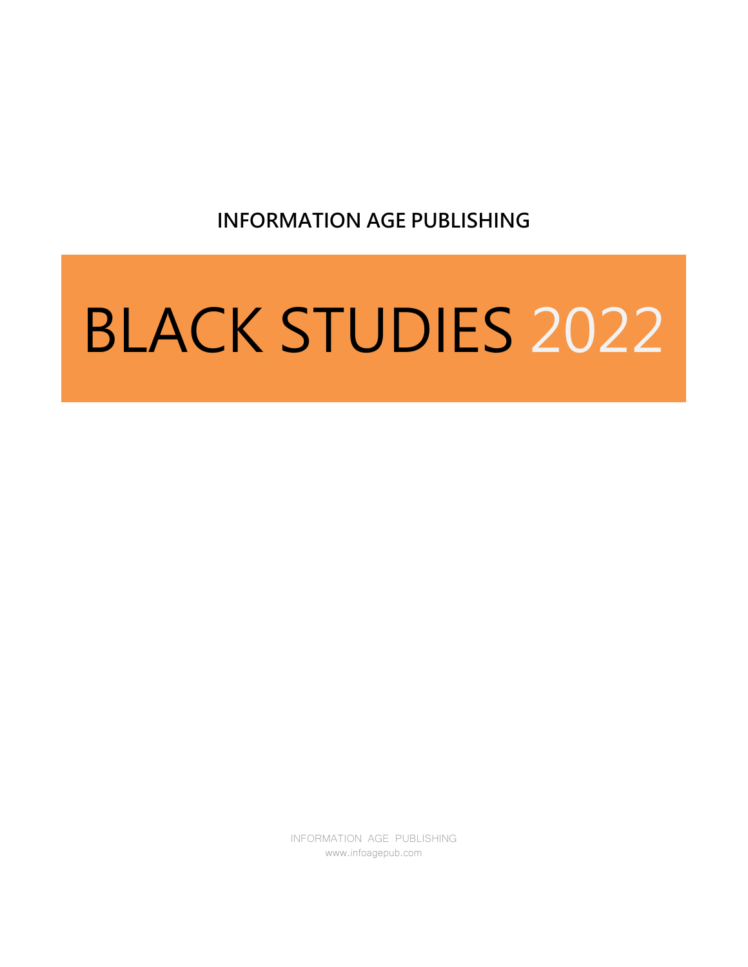**INFORMATION AGE PUBLISHING**

# BLACK STUDIES 2022

INFORMATION AGE PUBLISHING www.infoagepub.com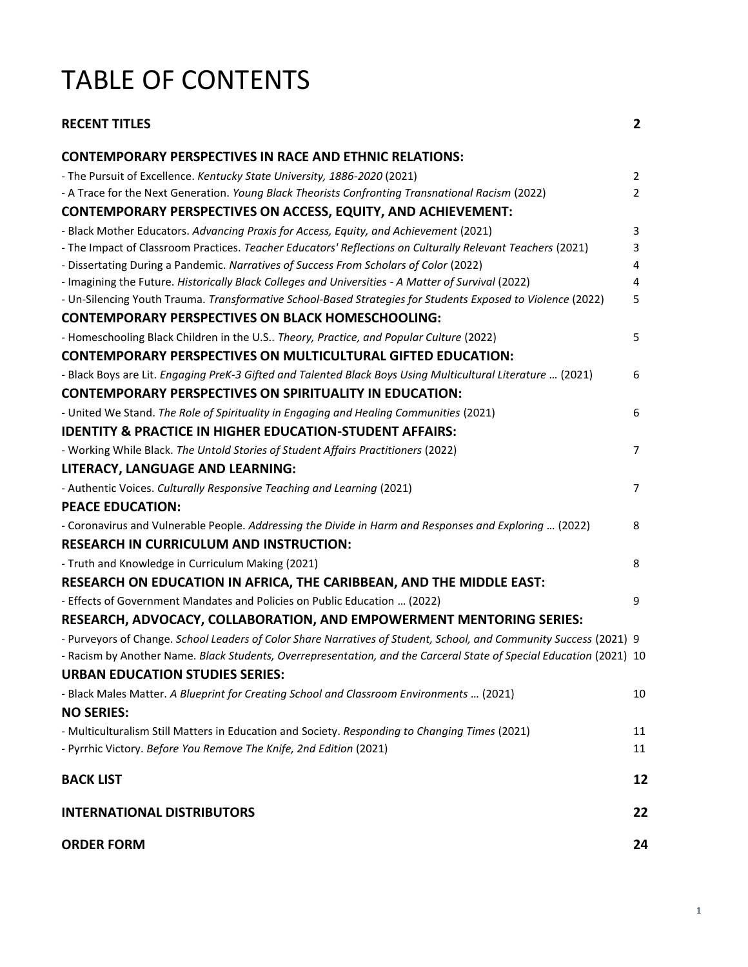# TABLE OF CONTENTS

| <b>RECENT TITLES</b>                                                                                                                                                 | $\overline{2}$ |
|----------------------------------------------------------------------------------------------------------------------------------------------------------------------|----------------|
| <b>CONTEMPORARY PERSPECTIVES IN RACE AND ETHNIC RELATIONS:</b>                                                                                                       |                |
| - The Pursuit of Excellence. Kentucky State University, 1886-2020 (2021)                                                                                             | $\overline{2}$ |
| - A Trace for the Next Generation. Young Black Theorists Confronting Transnational Racism (2022)                                                                     | $\overline{2}$ |
| <b>CONTEMPORARY PERSPECTIVES ON ACCESS, EQUITY, AND ACHIEVEMENT:</b>                                                                                                 |                |
| - Black Mother Educators. Advancing Praxis for Access, Equity, and Achievement (2021)                                                                                | 3              |
| - The Impact of Classroom Practices. Teacher Educators' Reflections on Culturally Relevant Teachers (2021)                                                           | 3              |
| - Dissertating During a Pandemic. Narratives of Success From Scholars of Color (2022)                                                                                | 4              |
| - Imagining the Future. Historically Black Colleges and Universities - A Matter of Survival (2022)                                                                   | 4              |
| - Un-Silencing Youth Trauma. Transformative School-Based Strategies for Students Exposed to Violence (2022)                                                          | 5              |
| <b>CONTEMPORARY PERSPECTIVES ON BLACK HOMESCHOOLING:</b>                                                                                                             |                |
| - Homeschooling Black Children in the U.S Theory, Practice, and Popular Culture (2022)                                                                               | 5              |
| <b>CONTEMPORARY PERSPECTIVES ON MULTICULTURAL GIFTED EDUCATION:</b>                                                                                                  |                |
| - Black Boys are Lit. Engaging PreK-3 Gifted and Talented Black Boys Using Multicultural Literature  (2021)                                                          | 6              |
| <b>CONTEMPORARY PERSPECTIVES ON SPIRITUALITY IN EDUCATION:</b>                                                                                                       |                |
| - United We Stand. The Role of Spirituality in Engaging and Healing Communities (2021)                                                                               | 6              |
| <b>IDENTITY &amp; PRACTICE IN HIGHER EDUCATION-STUDENT AFFAIRS:</b>                                                                                                  |                |
| - Working While Black. The Untold Stories of Student Affairs Practitioners (2022)                                                                                    | $\overline{7}$ |
| LITERACY, LANGUAGE AND LEARNING:                                                                                                                                     |                |
| - Authentic Voices. Culturally Responsive Teaching and Learning (2021)                                                                                               | $\overline{7}$ |
| <b>PEACE EDUCATION:</b>                                                                                                                                              |                |
| - Coronavirus and Vulnerable People. Addressing the Divide in Harm and Responses and Exploring  (2022)                                                               | 8              |
| <b>RESEARCH IN CURRICULUM AND INSTRUCTION:</b>                                                                                                                       |                |
| - Truth and Knowledge in Curriculum Making (2021)                                                                                                                    | 8              |
| RESEARCH ON EDUCATION IN AFRICA, THE CARIBBEAN, AND THE MIDDLE EAST:                                                                                                 |                |
| - Effects of Government Mandates and Policies on Public Education  (2022)                                                                                            | 9              |
| RESEARCH, ADVOCACY, COLLABORATION, AND EMPOWERMENT MENTORING SERIES:                                                                                                 |                |
| - Purveyors of Change. School Leaders of Color Share Narratives of Student, School, and Community Success (2021) 9                                                   |                |
| - Racism by Another Name. Black Students, Overrepresentation, and the Carceral State of Special Education (2021) 10                                                  |                |
| <b>URBAN EDUCATION STUDIES SERIES:</b>                                                                                                                               |                |
| - Black Males Matter. A Blueprint for Creating School and Classroom Environments  (2021)                                                                             | 10             |
| <b>NO SERIES:</b>                                                                                                                                                    |                |
|                                                                                                                                                                      | 11             |
| - Multiculturalism Still Matters in Education and Society. Responding to Changing Times (2021)<br>- Pyrrhic Victory. Before You Remove The Knife, 2nd Edition (2021) | 11             |
|                                                                                                                                                                      |                |
| <b>BACK LIST</b>                                                                                                                                                     | 12             |
| <b>INTERNATIONAL DISTRIBUTORS</b>                                                                                                                                    | 22             |
| <b>ORDER FORM</b>                                                                                                                                                    | 24             |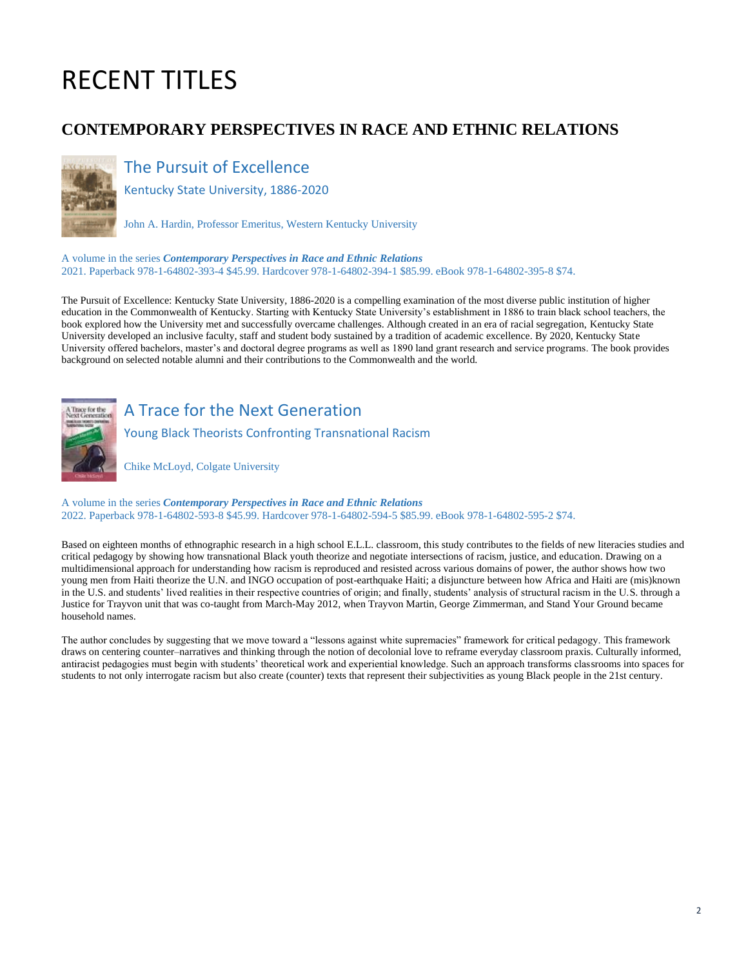# RECENT TITLES

# **CONTEMPORARY PERSPECTIVES IN RACE AND ETHNIC RELATIONS**



# The Pursuit of Excellence

Kentucky State University, 1886-2020

John A. Hardin, Professor Emeritus, Western Kentucky University

A volume in the series *Contemporary Perspectives in Race and Ethnic Relations* 2021. Paperback 978-1-64802-393-4 \$45.99. Hardcover 978-1-64802-394-1 \$85.99. eBook 978-1-64802-395-8 \$74.

The Pursuit of Excellence: Kentucky State University, 1886-2020 is a compelling examination of the most diverse public institution of higher education in the Commonwealth of Kentucky. Starting with Kentucky State University's establishment in 1886 to train black school teachers, the book explored how the University met and successfully overcame challenges. Although created in an era of racial segregation, Kentucky State University developed an inclusive faculty, staff and student body sustained by a tradition of academic excellence. By 2020, Kentucky State University offered bachelors, master's and doctoral degree programs as well as 1890 land grant research and service programs. The book provides background on selected notable alumni and their contributions to the Commonwealth and the world.



A Trace for the Next Generation

Young Black Theorists Confronting Transnational Racism

Chike McLoyd, Colgate University

A volume in the series *Contemporary Perspectives in Race and Ethnic Relations* 2022. Paperback 978-1-64802-593-8 \$45.99. Hardcover 978-1-64802-594-5 \$85.99. eBook 978-1-64802-595-2 \$74.

Based on eighteen months of ethnographic research in a high school E.L.L. classroom, this study contributes to the fields of new literacies studies and critical pedagogy by showing how transnational Black youth theorize and negotiate intersections of racism, justice, and education. Drawing on a multidimensional approach for understanding how racism is reproduced and resisted across various domains of power, the author shows how two young men from Haiti theorize the U.N. and INGO occupation of post-earthquake Haiti; a disjuncture between how Africa and Haiti are (mis)known in the U.S. and students' lived realities in their respective countries of origin; and finally, students' analysis of structural racism in the U.S. through a Justice for Trayvon unit that was co-taught from March-May 2012, when Trayvon Martin, George Zimmerman, and Stand Your Ground became household names.

The author concludes by suggesting that we move toward a "lessons against white supremacies" framework for critical pedagogy. This framework draws on centering counter–narratives and thinking through the notion of decolonial love to reframe everyday classroom praxis. Culturally informed, antiracist pedagogies must begin with students' theoretical work and experiential knowledge. Such an approach transforms classrooms into spaces for students to not only interrogate racism but also create (counter) texts that represent their subjectivities as young Black people in the 21st century.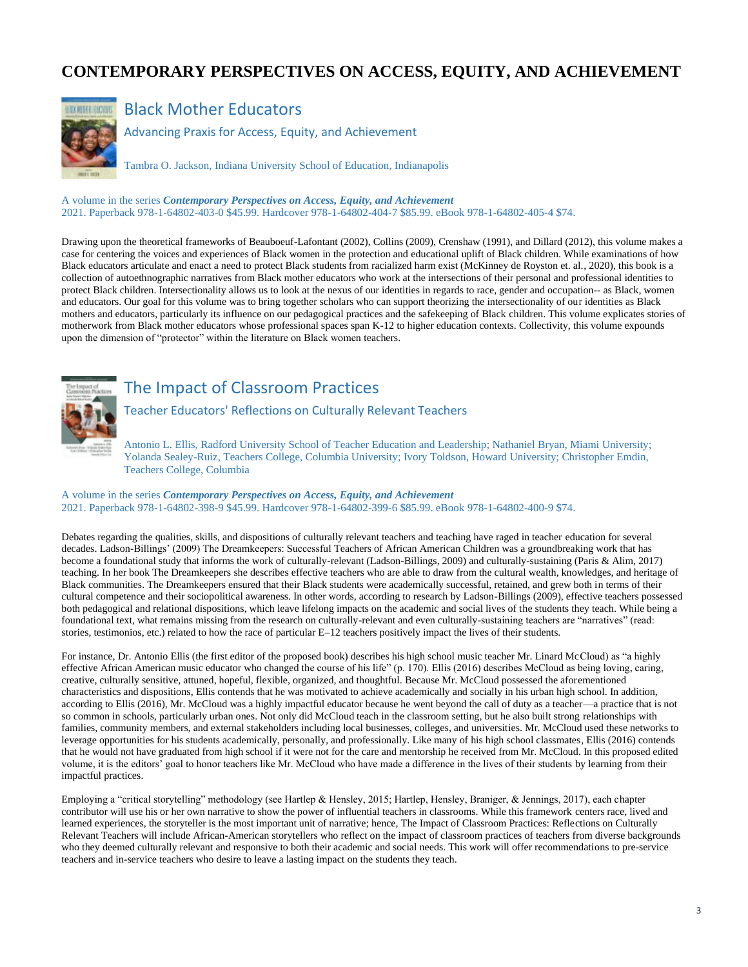# **CONTEMPORARY PERSPECTIVES ON ACCESS, EQUITY, AND ACHIEVEMENT**



#### Black Mother Educators

Advancing Praxis for Access, Equity, and Achievement

Tambra O. Jackson, Indiana University School of Education, Indianapolis

A volume in the series *Contemporary Perspectives on Access, Equity, and Achievement* 2021. Paperback 978-1-64802-403-0 \$45.99. Hardcover 978-1-64802-404-7 \$85.99. eBook 978-1-64802-405-4 \$74.

Drawing upon the theoretical frameworks of Beauboeuf-Lafontant (2002), Collins (2009), Crenshaw (1991), and Dillard (2012), this volume makes a case for centering the voices and experiences of Black women in the protection and educational uplift of Black children. While examinations of how Black educators articulate and enact a need to protect Black students from racialized harm exist (McKinney de Royston et. al., 2020), this book is a collection of autoethnographic narratives from Black mother educators who work at the intersections of their personal and professional identities to protect Black children. Intersectionality allows us to look at the nexus of our identities in regards to race, gender and occupation-- as Black, women and educators. Our goal for this volume was to bring together scholars who can support theorizing the intersectionality of our identities as Black mothers and educators, particularly its influence on our pedagogical practices and the safekeeping of Black children. This volume explicates stories of motherwork from Black mother educators whose professional spaces span K-12 to higher education contexts. Collectivity, this volume expounds upon the dimension of "protector" within the literature on Black women teachers.



# The Impact of Classroom Practices

Teacher Educators' Reflections on Culturally Relevant Teachers

Antonio L. Ellis, Radford University School of Teacher Education and Leadership; Nathaniel Bryan, Miami University; Yolanda Sealey-Ruiz, Teachers College, Columbia University; Ivory Toldson, Howard University; Christopher Emdin, Teachers College, Columbia

#### A volume in the series *Contemporary Perspectives on Access, Equity, and Achievement* 2021. Paperback 978-1-64802-398-9 \$45.99. Hardcover 978-1-64802-399-6 \$85.99. eBook 978-1-64802-400-9 \$74.

Debates regarding the qualities, skills, and dispositions of culturally relevant teachers and teaching have raged in teacher education for several decades. Ladson-Billings' (2009) The Dreamkeepers: Successful Teachers of African American Children was a groundbreaking work that has become a foundational study that informs the work of culturally-relevant (Ladson-Billings, 2009) and culturally-sustaining (Paris & Alim, 2017) teaching. In her book The Dreamkeepers she describes effective teachers who are able to draw from the cultural wealth, knowledges, and heritage of Black communities. The Dreamkeepers ensured that their Black students were academically successful, retained, and grew both in terms of their cultural competence and their sociopolitical awareness. In other words, according to research by Ladson-Billings (2009), effective teachers possessed both pedagogical and relational dispositions, which leave lifelong impacts on the academic and social lives of the students they teach. While being a foundational text, what remains missing from the research on culturally-relevant and even culturally-sustaining teachers are "narratives" (read: stories, testimonios, etc.) related to how the race of particular E–12 teachers positively impact the lives of their students.

For instance, Dr. Antonio Ellis (the first editor of the proposed book) describes his high school music teacher Mr. Linard McCloud) as "a highly effective African American music educator who changed the course of his life" (p. 170). Ellis (2016) describes McCloud as being loving, caring, creative, culturally sensitive, attuned, hopeful, flexible, organized, and thoughtful. Because Mr. McCloud possessed the aforementioned characteristics and dispositions, Ellis contends that he was motivated to achieve academically and socially in his urban high school. In addition, according to Ellis (2016), Mr. McCloud was a highly impactful educator because he went beyond the call of duty as a teacher—a practice that is not so common in schools, particularly urban ones. Not only did McCloud teach in the classroom setting, but he also built strong relationships with families, community members, and external stakeholders including local businesses, colleges, and universities. Mr. McCloud used these networks to leverage opportunities for his students academically, personally, and professionally. Like many of his high school classmates, Ellis (2016) contends that he would not have graduated from high school if it were not for the care and mentorship he received from Mr. McCloud. In this proposed edited volume, it is the editors' goal to honor teachers like Mr. McCloud who have made a difference in the lives of their students by learning from their impactful practices.

Employing a "critical storytelling" methodology (see Hartlep & Hensley, 2015; Hartlep, Hensley, Braniger, & Jennings, 2017), each chapter contributor will use his or her own narrative to show the power of influential teachers in classrooms. While this framework centers race, lived and learned experiences, the storyteller is the most important unit of narrative; hence, The Impact of Classroom Practices: Reflections on Culturally Relevant Teachers will include African-American storytellers who reflect on the impact of classroom practices of teachers from diverse backgrounds who they deemed culturally relevant and responsive to both their academic and social needs. This work will offer recommendations to pre-service teachers and in-service teachers who desire to leave a lasting impact on the students they teach.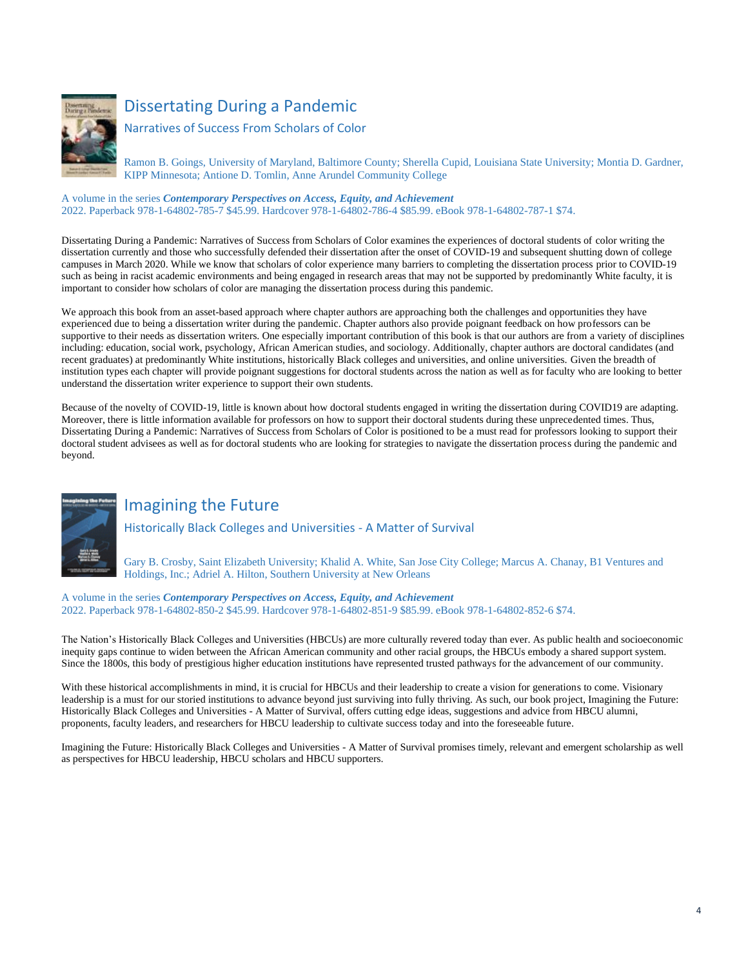

# Dissertating During a Pandemic

Narratives of Success From Scholars of Color

Ramon B. Goings, University of Maryland, Baltimore County; Sherella Cupid, Louisiana State University; Montia D. Gardner, KIPP Minnesota; Antione D. Tomlin, Anne Arundel Community College

#### A volume in the series *Contemporary Perspectives on Access, Equity, and Achievement*

2022. Paperback 978-1-64802-785-7 \$45.99. Hardcover 978-1-64802-786-4 \$85.99. eBook 978-1-64802-787-1 \$74.

Dissertating During a Pandemic: Narratives of Success from Scholars of Color examines the experiences of doctoral students of color writing the dissertation currently and those who successfully defended their dissertation after the onset of COVID-19 and subsequent shutting down of college campuses in March 2020. While we know that scholars of color experience many barriers to completing the dissertation process prior to COVID-19 such as being in racist academic environments and being engaged in research areas that may not be supported by predominantly White faculty, it is important to consider how scholars of color are managing the dissertation process during this pandemic.

We approach this book from an asset-based approach where chapter authors are approaching both the challenges and opportunities they have experienced due to being a dissertation writer during the pandemic. Chapter authors also provide poignant feedback on how professors can be supportive to their needs as dissertation writers. One especially important contribution of this book is that our authors are from a variety of disciplines including: education, social work, psychology, African American studies, and sociology. Additionally, chapter authors are doctoral candidates (and recent graduates) at predominantly White institutions, historically Black colleges and universities, and online universities. Given the breadth of institution types each chapter will provide poignant suggestions for doctoral students across the nation as well as for faculty who are looking to better understand the dissertation writer experience to support their own students.

Because of the novelty of COVID-19, little is known about how doctoral students engaged in writing the dissertation during COVID19 are adapting. Moreover, there is little information available for professors on how to support their doctoral students during these unprecedented times. Thus, Dissertating During a Pandemic: Narratives of Success from Scholars of Color is positioned to be a must read for professors looking to support their doctoral student advisees as well as for doctoral students who are looking for strategies to navigate the dissertation process during the pandemic and beyond.



## Imagining the Future

Historically Black Colleges and Universities - A Matter of Survival

Gary B. Crosby, Saint Elizabeth University; Khalid A. White, San Jose City College; Marcus A. Chanay, B1 Ventures and Holdings, Inc.; Adriel A. Hilton, Southern University at New Orleans

A volume in the series *Contemporary Perspectives on Access, Equity, and Achievement* 2022. Paperback 978-1-64802-850-2 \$45.99. Hardcover 978-1-64802-851-9 \$85.99. eBook 978-1-64802-852-6 \$74.

The Nation's Historically Black Colleges and Universities (HBCUs) are more culturally revered today than ever. As public health and socioeconomic inequity gaps continue to widen between the African American community and other racial groups, the HBCUs embody a shared support system. Since the 1800s, this body of prestigious higher education institutions have represented trusted pathways for the advancement of our community.

With these historical accomplishments in mind, it is crucial for HBCUs and their leadership to create a vision for generations to come. Visionary leadership is a must for our storied institutions to advance beyond just surviving into fully thriving. As such, our book project, Imagining the Future: Historically Black Colleges and Universities - A Matter of Survival, offers cutting edge ideas, suggestions and advice from HBCU alumni, proponents, faculty leaders, and researchers for HBCU leadership to cultivate success today and into the foreseeable future.

Imagining the Future: Historically Black Colleges and Universities - A Matter of Survival promises timely, relevant and emergent scholarship as well as perspectives for HBCU leadership, HBCU scholars and HBCU supporters.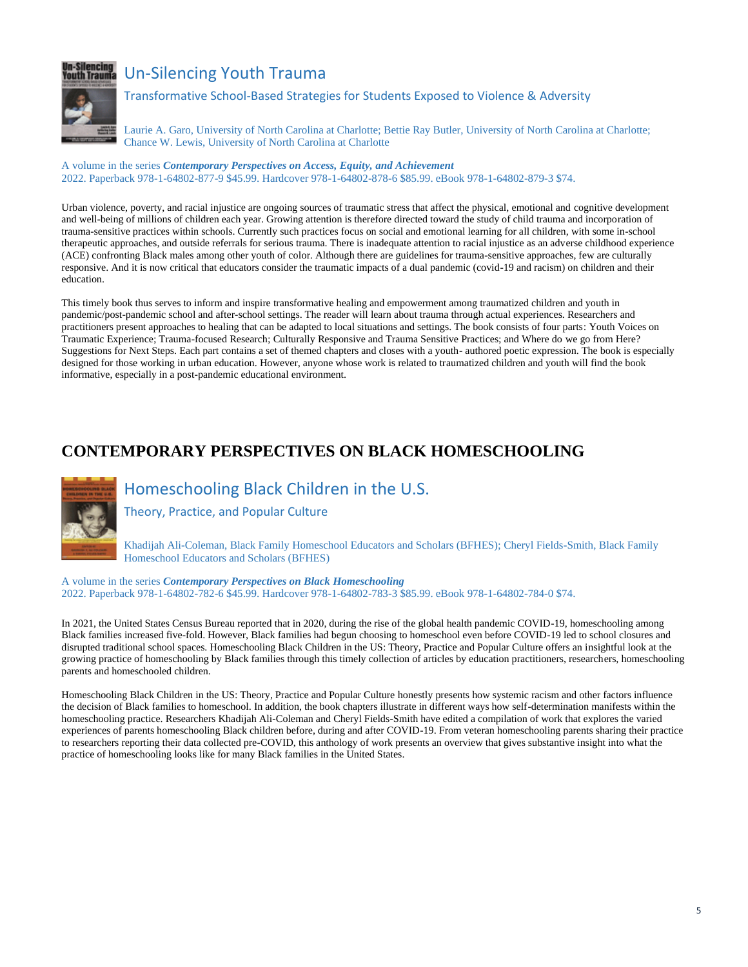

# **In-Silencing**<br>Wuth Trauma Un-Silencing Youth Trauma

Transformative School-Based Strategies for Students Exposed to Violence & Adversity

Laurie A. Garo, University of North Carolina at Charlotte; Bettie Ray Butler, University of North Carolina at Charlotte; Chance W. Lewis, University of North Carolina at Charlotte

A volume in the series *Contemporary Perspectives on Access, Equity, and Achievement* 2022. Paperback 978-1-64802-877-9 \$45.99. Hardcover 978-1-64802-878-6 \$85.99. eBook 978-1-64802-879-3 \$74.

Urban violence, poverty, and racial injustice are ongoing sources of traumatic stress that affect the physical, emotional and cognitive development and well-being of millions of children each year. Growing attention is therefore directed toward the study of child trauma and incorporation of trauma-sensitive practices within schools. Currently such practices focus on social and emotional learning for all children, with some in-school therapeutic approaches, and outside referrals for serious trauma. There is inadequate attention to racial injustice as an adverse childhood experience (ACE) confronting Black males among other youth of color. Although there are guidelines for trauma-sensitive approaches, few are culturally responsive. And it is now critical that educators consider the traumatic impacts of a dual pandemic (covid-19 and racism) on children and their education.

This timely book thus serves to inform and inspire transformative healing and empowerment among traumatized children and youth in pandemic/post-pandemic school and after-school settings. The reader will learn about trauma through actual experiences. Researchers and practitioners present approaches to healing that can be adapted to local situations and settings. The book consists of four parts: Youth Voices on Traumatic Experience; Trauma-focused Research; Culturally Responsive and Trauma Sensitive Practices; and Where do we go from Here? Suggestions for Next Steps. Each part contains a set of themed chapters and closes with a youth- authored poetic expression. The book is especially designed for those working in urban education. However, anyone whose work is related to traumatized children and youth will find the book informative, especially in a post-pandemic educational environment.

# **CONTEMPORARY PERSPECTIVES ON BLACK HOMESCHOOLING**



# Homeschooling Black Children in the U.S.

Theory, Practice, and Popular Culture

Khadijah Ali-Coleman, Black Family Homeschool Educators and Scholars (BFHES); Cheryl Fields-Smith, Black Family Homeschool Educators and Scholars (BFHES)

A volume in the series *Contemporary Perspectives on Black Homeschooling* 2022. Paperback 978-1-64802-782-6 \$45.99. Hardcover 978-1-64802-783-3 \$85.99. eBook 978-1-64802-784-0 \$74.

In 2021, the United States Census Bureau reported that in 2020, during the rise of the global health pandemic COVID-19, homeschooling among Black families increased five-fold. However, Black families had begun choosing to homeschool even before COVID-19 led to school closures and disrupted traditional school spaces. Homeschooling Black Children in the US: Theory, Practice and Popular Culture offers an insightful look at the growing practice of homeschooling by Black families through this timely collection of articles by education practitioners, researchers, homeschooling parents and homeschooled children.

Homeschooling Black Children in the US: Theory, Practice and Popular Culture honestly presents how systemic racism and other factors influence the decision of Black families to homeschool. In addition, the book chapters illustrate in different ways how self-determination manifests within the homeschooling practice. Researchers Khadijah Ali-Coleman and Cheryl Fields-Smith have edited a compilation of work that explores the varied experiences of parents homeschooling Black children before, during and after COVID-19. From veteran homeschooling parents sharing their practice to researchers reporting their data collected pre-COVID, this anthology of work presents an overview that gives substantive insight into what the practice of homeschooling looks like for many Black families in the United States.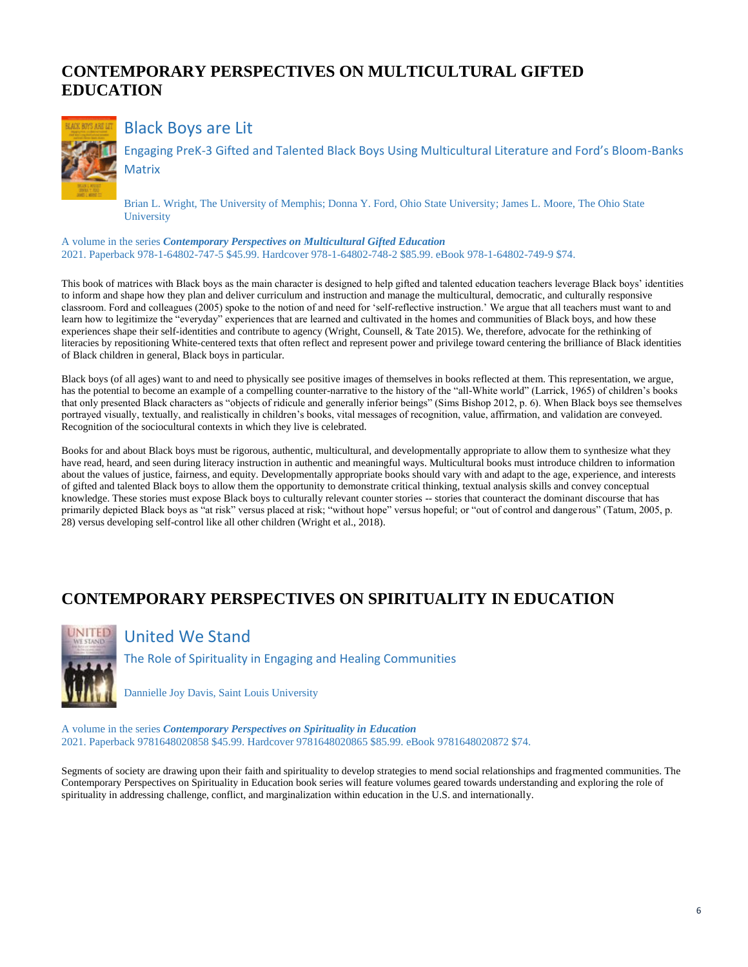# **CONTEMPORARY PERSPECTIVES ON MULTICULTURAL GIFTED EDUCATION**



#### Black Boys are Lit

Engaging PreK-3 Gifted and Talented Black Boys Using Multicultural Literature and Ford's Bloom-Banks **Matrix** 

Brian L. Wright, The University of Memphis; Donna Y. Ford, Ohio State University; James L. Moore, The Ohio State **University** 

A volume in the series *Contemporary Perspectives on Multicultural Gifted Education* 2021. Paperback 978-1-64802-747-5 \$45.99. Hardcover 978-1-64802-748-2 \$85.99. eBook 978-1-64802-749-9 \$74.

This book of matrices with Black boys as the main character is designed to help gifted and talented education teachers leverage Black boys' identities to inform and shape how they plan and deliver curriculum and instruction and manage the multicultural, democratic, and culturally responsive classroom. Ford and colleagues (2005) spoke to the notion of and need for 'self-reflective instruction.' We argue that all teachers must want to and learn how to legitimize the "everyday" experiences that are learned and cultivated in the homes and communities of Black boys, and how these experiences shape their self-identities and contribute to agency (Wright, Counsell, & Tate 2015). We, therefore, advocate for the rethinking of literacies by repositioning White-centered texts that often reflect and represent power and privilege toward centering the brilliance of Black identities of Black children in general, Black boys in particular.

Black boys (of all ages) want to and need to physically see positive images of themselves in books reflected at them. This representation, we argue, has the potential to become an example of a compelling counter-narrative to the history of the "all-White world" (Larrick, 1965) of children's books that only presented Black characters as "objects of ridicule and generally inferior beings" (Sims Bishop 2012, p. 6). When Black boys see themselves portrayed visually, textually, and realistically in children's books, vital messages of recognition, value, affirmation, and validation are conveyed. Recognition of the sociocultural contexts in which they live is celebrated.

Books for and about Black boys must be rigorous, authentic, multicultural, and developmentally appropriate to allow them to synthesize what they have read, heard, and seen during literacy instruction in authentic and meaningful ways. Multicultural books must introduce children to information about the values of justice, fairness, and equity. Developmentally appropriate books should vary with and adapt to the age, experience, and interests of gifted and talented Black boys to allow them the opportunity to demonstrate critical thinking, textual analysis skills and convey conceptual knowledge. These stories must expose Black boys to culturally relevant counter stories -- stories that counteract the dominant discourse that has primarily depicted Black boys as "at risk" versus placed at risk; "without hope" versus hopeful; or "out of control and dangerous" (Tatum, 2005, p. 28) versus developing self-control like all other children (Wright et al., 2018).

# **CONTEMPORARY PERSPECTIVES ON SPIRITUALITY IN EDUCATION**



## United We Stand

The Role of Spirituality in Engaging and Healing Communities

Dannielle Joy Davis, Saint Louis University

A volume in the series *Contemporary Perspectives on Spirituality in Education* 2021. Paperback 9781648020858 \$45.99. Hardcover 9781648020865 \$85.99. eBook 9781648020872 \$74.

Segments of society are drawing upon their faith and spirituality to develop strategies to mend social relationships and fragmented communities. The Contemporary Perspectives on Spirituality in Education book series will feature volumes geared towards understanding and exploring the role of spirituality in addressing challenge, conflict, and marginalization within education in the U.S. and internationally.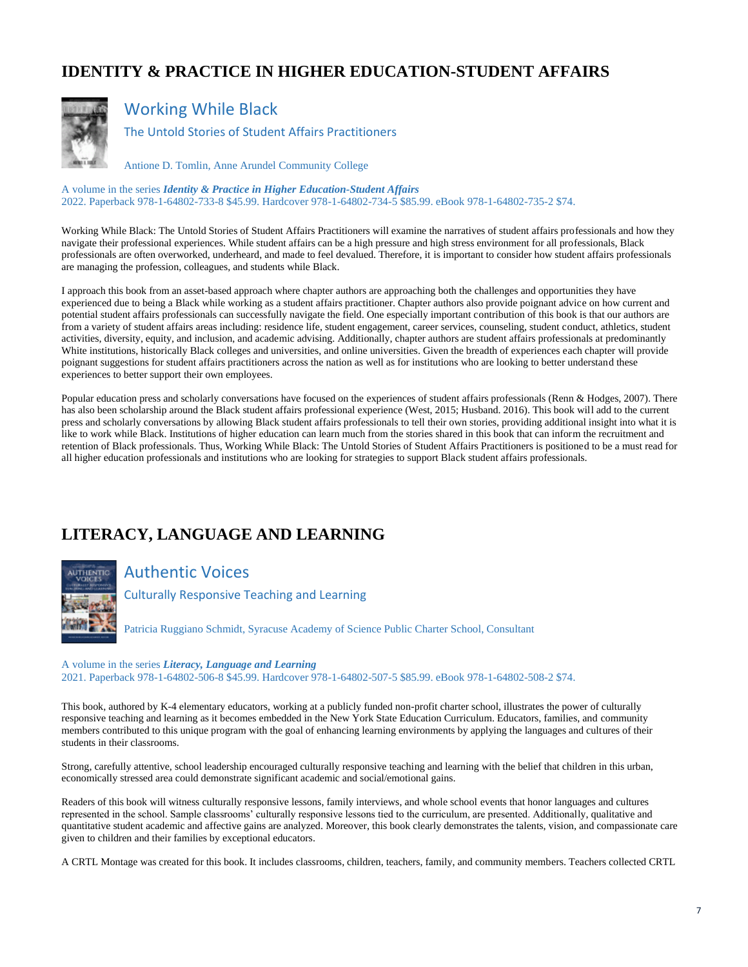# **IDENTITY & PRACTICE IN HIGHER EDUCATION-STUDENT AFFAIRS**



## Working While Black

The Untold Stories of Student Affairs Practitioners

Antione D. Tomlin, Anne Arundel Community College

A volume in the series *Identity & Practice in Higher Education-Student Affairs* 2022. Paperback 978-1-64802-733-8 \$45.99. Hardcover 978-1-64802-734-5 \$85.99. eBook 978-1-64802-735-2 \$74.

Working While Black: The Untold Stories of Student Affairs Practitioners will examine the narratives of student affairs professionals and how they navigate their professional experiences. While student affairs can be a high pressure and high stress environment for all professionals, Black professionals are often overworked, underheard, and made to feel devalued. Therefore, it is important to consider how student affairs professionals are managing the profession, colleagues, and students while Black.

I approach this book from an asset-based approach where chapter authors are approaching both the challenges and opportunities they have experienced due to being a Black while working as a student affairs practitioner. Chapter authors also provide poignant advice on how current and potential student affairs professionals can successfully navigate the field. One especially important contribution of this book is that our authors are from a variety of student affairs areas including: residence life, student engagement, career services, counseling, student conduct, athletics, student activities, diversity, equity, and inclusion, and academic advising. Additionally, chapter authors are student affairs professionals at predominantly White institutions, historically Black colleges and universities, and online universities. Given the breadth of experiences each chapter will provide poignant suggestions for student affairs practitioners across the nation as well as for institutions who are looking to better understand these experiences to better support their own employees.

Popular education press and scholarly conversations have focused on the experiences of student affairs professionals (Renn & Hodges, 2007). There has also been scholarship around the Black student affairs professional experience (West, 2015; Husband. 2016). This book will add to the current press and scholarly conversations by allowing Black student affairs professionals to tell their own stories, providing additional insight into what it is like to work while Black. Institutions of higher education can learn much from the stories shared in this book that can inform the recruitment and retention of Black professionals. Thus, Working While Black: The Untold Stories of Student Affairs Practitioners is positioned to be a must read for all higher education professionals and institutions who are looking for strategies to support Black student affairs professionals.

# **LITERACY, LANGUAGE AND LEARNING**



Authentic Voices

Culturally Responsive Teaching and Learning

Patricia Ruggiano Schmidt, Syracuse Academy of Science Public Charter School, Consultant

#### A volume in the series *Literacy, Language and Learning*

2021. Paperback 978-1-64802-506-8 \$45.99. Hardcover 978-1-64802-507-5 \$85.99. eBook 978-1-64802-508-2 \$74.

This book, authored by K-4 elementary educators, working at a publicly funded non-profit charter school, illustrates the power of culturally responsive teaching and learning as it becomes embedded in the New York State Education Curriculum. Educators, families, and community members contributed to this unique program with the goal of enhancing learning environments by applying the languages and cultures of their students in their classrooms.

Strong, carefully attentive, school leadership encouraged culturally responsive teaching and learning with the belief that children in this urban, economically stressed area could demonstrate significant academic and social/emotional gains.

Readers of this book will witness culturally responsive lessons, family interviews, and whole school events that honor languages and cultures represented in the school. Sample classrooms' culturally responsive lessons tied to the curriculum, are presented. Additionally, qualitative and quantitative student academic and affective gains are analyzed. Moreover, this book clearly demonstrates the talents, vision, and compassionate care given to children and their families by exceptional educators.

A CRTL Montage was created for this book. It includes classrooms, children, teachers, family, and community members. Teachers collected CRTL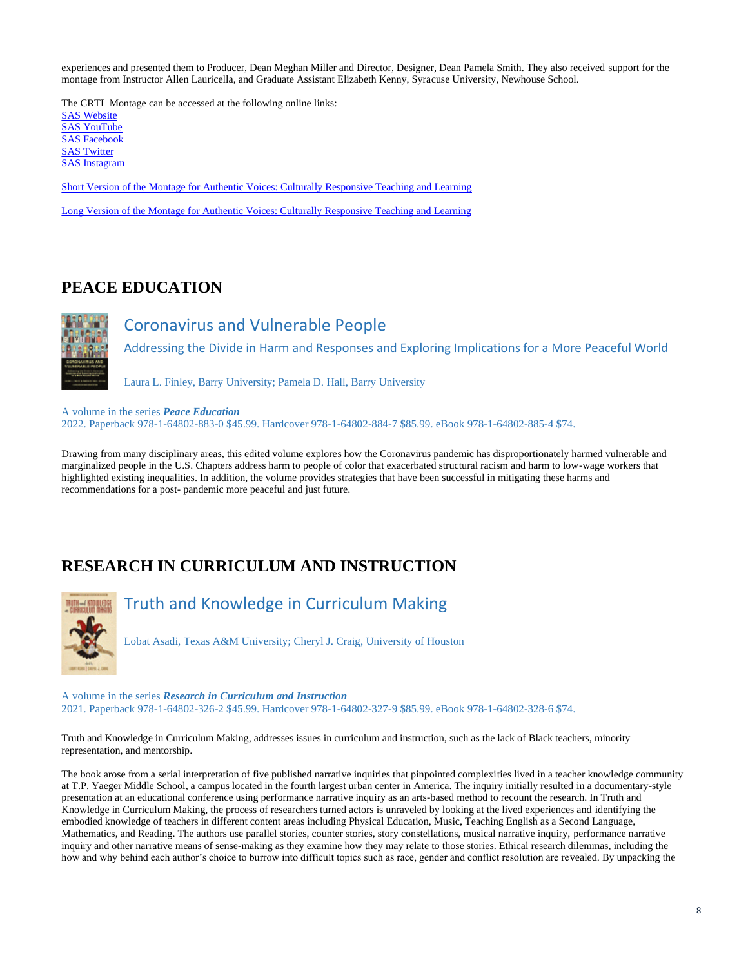experiences and presented them to Producer, Dean Meghan Miller and Director, Designer, Dean Pamela Smith. They also received support for the montage from Instructor Allen Lauricella, and Graduate Assistant Elizabeth Kenny, Syracuse University, Newhouse School.

The CRTL Montage can be accessed at the following online links: [SAS Website](https://www.sascs.org/) [SAS YouTube](https://www.youtube.com/user/SyracuseAcademy) [SAS Facebook](https://www.facebook.com/syracuseacademy) **[SAS Twitter](https://twitter.com/SyracuseAcademy)** [SAS Instagram](https://www.instagram.com/syracuseacademy)

[Short Version of the Montage for Authentic Voices: Culturally Responsive Teaching and Learning](https://www.youtube.com/watch?v=Nby12naXuro)

[Long Version of the Montage for Authentic Voices: Culturally Responsive Teaching and Learning](https://www.youtube.com/watch?v=nkpCUiJozfw)

# **PEACE EDUCATION**



## Coronavirus and Vulnerable People

Addressing the Divide in Harm and Responses and Exploring Implications for a More Peaceful World

Laura L. Finley, Barry University; Pamela D. Hall, Barry University

#### A volume in the series *Peace Education*

2022. Paperback 978-1-64802-883-0 \$45.99. Hardcover 978-1-64802-884-7 \$85.99. eBook 978-1-64802-885-4 \$74.

Drawing from many disciplinary areas, this edited volume explores how the Coronavirus pandemic has disproportionately harmed vulnerable and marginalized people in the U.S. Chapters address harm to people of color that exacerbated structural racism and harm to low-wage workers that highlighted existing inequalities. In addition, the volume provides strategies that have been successful in mitigating these harms and recommendations for a post- pandemic more peaceful and just future.

# **RESEARCH IN CURRICULUM AND INSTRUCTION**



Truth and Knowledge in Curriculum Making

Lobat Asadi, Texas A&M University; Cheryl J. Craig, University of Houston

A volume in the series *Research in Curriculum and Instruction* 2021. Paperback 978-1-64802-326-2 \$45.99. Hardcover 978-1-64802-327-9 \$85.99. eBook 978-1-64802-328-6 \$74.

Truth and Knowledge in Curriculum Making, addresses issues in curriculum and instruction, such as the lack of Black teachers, minority representation, and mentorship.

The book arose from a serial interpretation of five published narrative inquiries that pinpointed complexities lived in a teacher knowledge community at T.P. Yaeger Middle School, a campus located in the fourth largest urban center in America. The inquiry initially resulted in a documentary-style presentation at an educational conference using performance narrative inquiry as an arts-based method to recount the research. In Truth and Knowledge in Curriculum Making, the process of researchers turned actors is unraveled by looking at the lived experiences and identifying the embodied knowledge of teachers in different content areas including Physical Education, Music, Teaching English as a Second Language, Mathematics, and Reading. The authors use parallel stories, counter stories, story constellations, musical narrative inquiry, performance narrative inquiry and other narrative means of sense-making as they examine how they may relate to those stories. Ethical research dilemmas, including the how and why behind each author's choice to burrow into difficult topics such as race, gender and conflict resolution are revealed. By unpacking the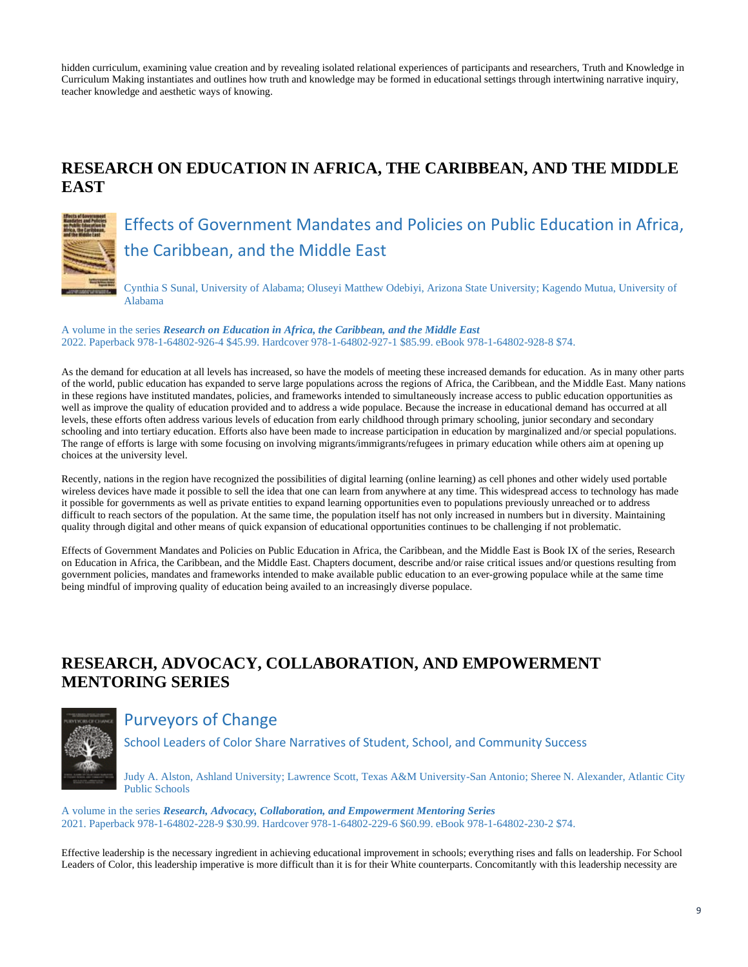hidden curriculum, examining value creation and by revealing isolated relational experiences of participants and researchers, Truth and Knowledge in Curriculum Making instantiates and outlines how truth and knowledge may be formed in educational settings through intertwining narrative inquiry, teacher knowledge and aesthetic ways of knowing.

# **RESEARCH ON EDUCATION IN AFRICA, THE CARIBBEAN, AND THE MIDDLE EAST**



Effects of Government Mandates and Policies on Public Education in Africa, the Caribbean, and the Middle East

Cynthia S Sunal, University of Alabama; Oluseyi Matthew Odebiyi, Arizona State University; Kagendo Mutua, University of Alabama

A volume in the series *Research on Education in Africa, the Caribbean, and the Middle East* 2022. Paperback 978-1-64802-926-4 \$45.99. Hardcover 978-1-64802-927-1 \$85.99. eBook 978-1-64802-928-8 \$74.

As the demand for education at all levels has increased, so have the models of meeting these increased demands for education. As in many other parts of the world, public education has expanded to serve large populations across the regions of Africa, the Caribbean, and the Middle East. Many nations in these regions have instituted mandates, policies, and frameworks intended to simultaneously increase access to public education opportunities as well as improve the quality of education provided and to address a wide populace. Because the increase in educational demand has occurred at all levels, these efforts often address various levels of education from early childhood through primary schooling, junior secondary and secondary schooling and into tertiary education. Efforts also have been made to increase participation in education by marginalized and/or special populations. The range of efforts is large with some focusing on involving migrants/immigrants/refugees in primary education while others aim at opening up choices at the university level.

Recently, nations in the region have recognized the possibilities of digital learning (online learning) as cell phones and other widely used portable wireless devices have made it possible to sell the idea that one can learn from anywhere at any time. This widespread access to technology has made it possible for governments as well as private entities to expand learning opportunities even to populations previously unreached or to address difficult to reach sectors of the population. At the same time, the population itself has not only increased in numbers but in diversity. Maintaining quality through digital and other means of quick expansion of educational opportunities continues to be challenging if not problematic.

Effects of Government Mandates and Policies on Public Education in Africa, the Caribbean, and the Middle East is Book IX of the series, Research on Education in Africa, the Caribbean, and the Middle East. Chapters document, describe and/or raise critical issues and/or questions resulting from government policies, mandates and frameworks intended to make available public education to an ever-growing populace while at the same time being mindful of improving quality of education being availed to an increasingly diverse populace.

# **RESEARCH, ADVOCACY, COLLABORATION, AND EMPOWERMENT MENTORING SERIES**



# Purveyors of Change

School Leaders of Color Share Narratives of Student, School, and Community Success

Judy A. Alston, Ashland University; Lawrence Scott, Texas A&M University-San Antonio; Sheree N. Alexander, Atlantic City Public Schools

A volume in the series *Research, Advocacy, Collaboration, and Empowerment Mentoring Series* 2021. Paperback 978-1-64802-228-9 \$30.99. Hardcover 978-1-64802-229-6 \$60.99. eBook 978-1-64802-230-2 \$74.

Effective leadership is the necessary ingredient in achieving educational improvement in schools; everything rises and falls on leadership. For School Leaders of Color, this leadership imperative is more difficult than it is for their White counterparts. Concomitantly with this leadership necessity are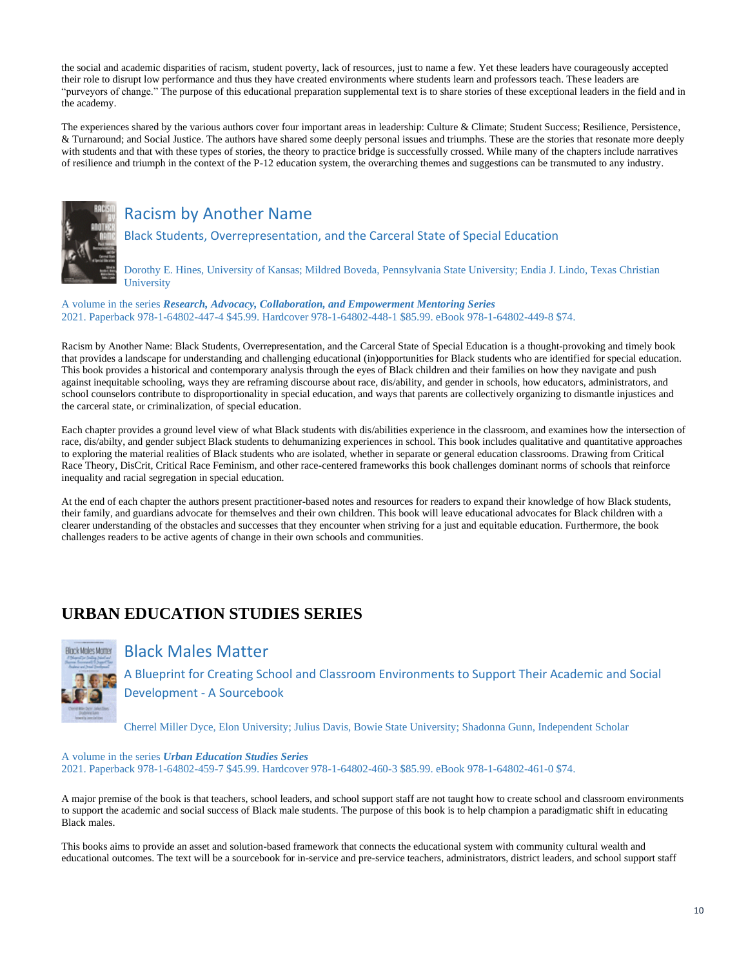the social and academic disparities of racism, student poverty, lack of resources, just to name a few. Yet these leaders have courageously accepted their role to disrupt low performance and thus they have created environments where students learn and professors teach. These leaders are "purveyors of change." The purpose of this educational preparation supplemental text is to share stories of these exceptional leaders in the field and in the academy.

The experiences shared by the various authors cover four important areas in leadership: Culture & Climate; Student Success; Resilience, Persistence, & Turnaround; and Social Justice. The authors have shared some deeply personal issues and triumphs. These are the stories that resonate more deeply with students and that with these types of stories, the theory to practice bridge is successfully crossed. While many of the chapters include narratives of resilience and triumph in the context of the P-12 education system, the overarching themes and suggestions can be transmuted to any industry.



# Racism by Another Name

Black Students, Overrepresentation, and the Carceral State of Special Education

Dorothy E. Hines, University of Kansas; Mildred Boveda, Pennsylvania State University; Endia J. Lindo, Texas Christian **University** 

A volume in the series *Research, Advocacy, Collaboration, and Empowerment Mentoring Series* 2021. Paperback 978-1-64802-447-4 \$45.99. Hardcover 978-1-64802-448-1 \$85.99. eBook 978-1-64802-449-8 \$74.

Racism by Another Name: Black Students, Overrepresentation, and the Carceral State of Special Education is a thought-provoking and timely book that provides a landscape for understanding and challenging educational (in)opportunities for Black students who are identified for special education. This book provides a historical and contemporary analysis through the eyes of Black children and their families on how they navigate and push against inequitable schooling, ways they are reframing discourse about race, dis/ability, and gender in schools, how educators, administrators, and school counselors contribute to disproportionality in special education, and ways that parents are collectively organizing to dismantle injustices and the carceral state, or criminalization, of special education.

Each chapter provides a ground level view of what Black students with dis/abilities experience in the classroom, and examines how the intersection of race, dis/abilty, and gender subject Black students to dehumanizing experiences in school. This book includes qualitative and quantitative approaches to exploring the material realities of Black students who are isolated, whether in separate or general education classrooms. Drawing from Critical Race Theory, DisCrit, Critical Race Feminism, and other race-centered frameworks this book challenges dominant norms of schools that reinforce inequality and racial segregation in special education.

At the end of each chapter the authors present practitioner-based notes and resources for readers to expand their knowledge of how Black students, their family, and guardians advocate for themselves and their own children. This book will leave educational advocates for Black children with a clearer understanding of the obstacles and successes that they encounter when striving for a just and equitable education. Furthermore, the book challenges readers to be active agents of change in their own schools and communities.

# **URBAN EDUCATION STUDIES SERIES**



#### Black Males Matter

A Blueprint for Creating School and Classroom Environments to Support Their Academic and Social Development - A Sourcebook

Cherrel Miller Dyce, Elon University; Julius Davis, Bowie State University; Shadonna Gunn, Independent Scholar

A volume in the series *Urban Education Studies Series* 2021. Paperback 978-1-64802-459-7 \$45.99. Hardcover 978-1-64802-460-3 \$85.99. eBook 978-1-64802-461-0 \$74.

A major premise of the book is that teachers, school leaders, and school support staff are not taught how to create school and classroom environments to support the academic and social success of Black male students. The purpose of this book is to help champion a paradigmatic shift in educating Black males.

This books aims to provide an asset and solution-based framework that connects the educational system with community cultural wealth and educational outcomes. The text will be a sourcebook for in-service and pre-service teachers, administrators, district leaders, and school support staff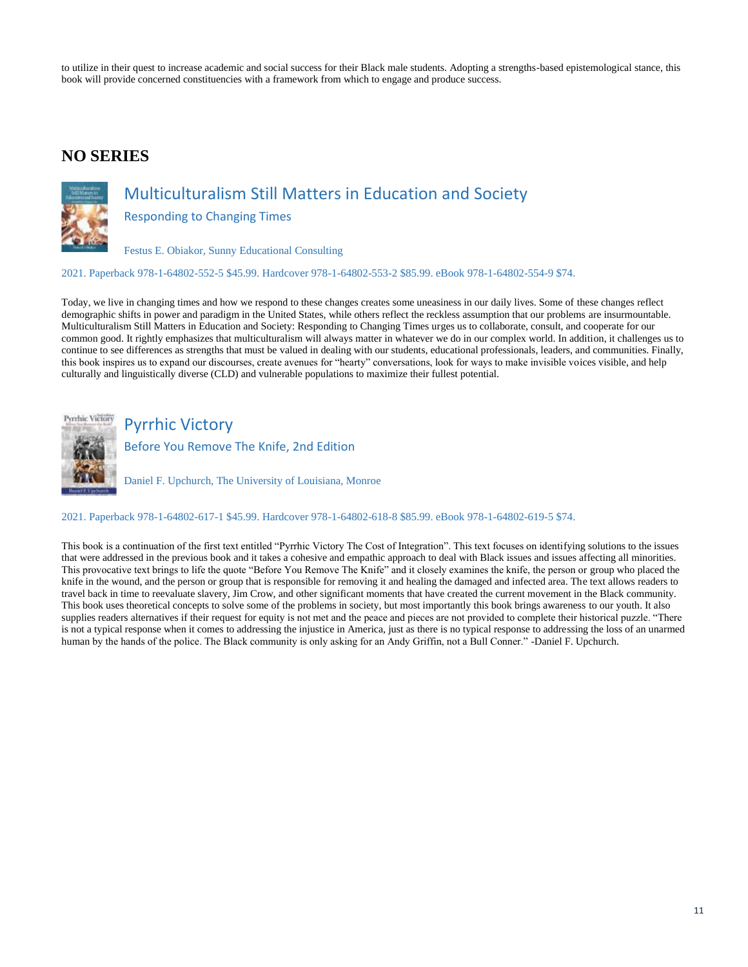to utilize in their quest to increase academic and social success for their Black male students. Adopting a strengths-based epistemological stance, this book will provide concerned constituencies with a framework from which to engage and produce success.

## **NO SERIES**



# Multiculturalism Still Matters in Education and Society

Responding to Changing Times

Festus E. Obiakor, Sunny Educational Consulting

2021. Paperback 978-1-64802-552-5 \$45.99. Hardcover 978-1-64802-553-2 \$85.99. eBook 978-1-64802-554-9 \$74.

Today, we live in changing times and how we respond to these changes creates some uneasiness in our daily lives. Some of these changes reflect demographic shifts in power and paradigm in the United States, while others reflect the reckless assumption that our problems are insurmountable. Multiculturalism Still Matters in Education and Society: Responding to Changing Times urges us to collaborate, consult, and cooperate for our common good. It rightly emphasizes that multiculturalism will always matter in whatever we do in our complex world. In addition, it challenges us to continue to see differences as strengths that must be valued in dealing with our students, educational professionals, leaders, and communities. Finally, this book inspires us to expand our discourses, create avenues for "hearty" conversations, look for ways to make invisible voices visible, and help culturally and linguistically diverse (CLD) and vulnerable populations to maximize their fullest potential.



# Pyrrhic Victory

Before You Remove The Knife, 2nd Edition

Daniel F. Upchurch, The University of Louisiana, Monroe

#### 2021. Paperback 978-1-64802-617-1 \$45.99. Hardcover 978-1-64802-618-8 \$85.99. eBook 978-1-64802-619-5 \$74.

This book is a continuation of the first text entitled "Pyrrhic Victory The Cost of Integration". This text focuses on identifying solutions to the issues that were addressed in the previous book and it takes a cohesive and empathic approach to deal with Black issues and issues affecting all minorities. This provocative text brings to life the quote "Before You Remove The Knife" and it closely examines the knife, the person or group who placed the knife in the wound, and the person or group that is responsible for removing it and healing the damaged and infected area. The text allows readers to travel back in time to reevaluate slavery, Jim Crow, and other significant moments that have created the current movement in the Black community. This book uses theoretical concepts to solve some of the problems in society, but most importantly this book brings awareness to our youth. It also supplies readers alternatives if their request for equity is not met and the peace and pieces are not provided to complete their historical puzzle. "There is not a typical response when it comes to addressing the injustice in America, just as there is no typical response to addressing the loss of an unarmed human by the hands of the police. The Black community is only asking for an Andy Griffin, not a Bull Conner." -Daniel F. Upchurch.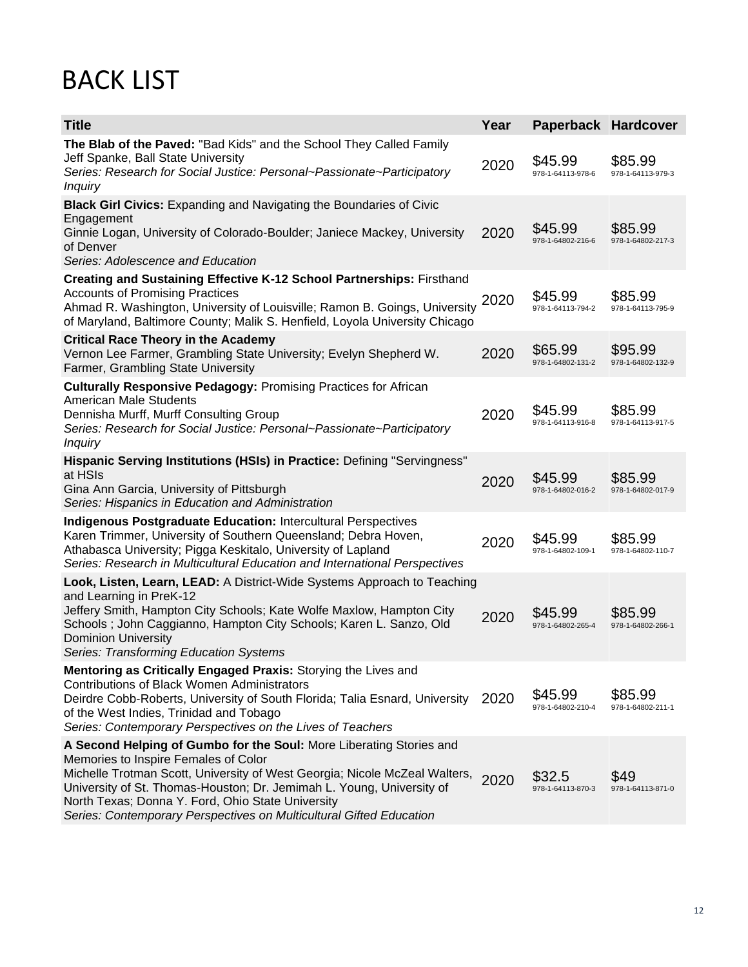# BACK LIST

| <b>Title</b>                                                                                                                                                                                                                                                                                                                                                                                   | Year | Paperback Hardcover          |                              |
|------------------------------------------------------------------------------------------------------------------------------------------------------------------------------------------------------------------------------------------------------------------------------------------------------------------------------------------------------------------------------------------------|------|------------------------------|------------------------------|
| The Blab of the Paved: "Bad Kids" and the School They Called Family<br>Jeff Spanke, Ball State University<br>Series: Research for Social Justice: Personal~Passionate~Participatory<br><b>Inquiry</b>                                                                                                                                                                                          | 2020 | \$45.99<br>978-1-64113-978-6 | \$85.99<br>978-1-64113-979-3 |
| <b>Black Girl Civics:</b> Expanding and Navigating the Boundaries of Civic<br>Engagement<br>Ginnie Logan, University of Colorado-Boulder; Janiece Mackey, University<br>of Denver<br>Series: Adolescence and Education                                                                                                                                                                         | 2020 | \$45.99<br>978-1-64802-216-6 | \$85.99<br>978-1-64802-217-3 |
| Creating and Sustaining Effective K-12 School Partnerships: Firsthand<br><b>Accounts of Promising Practices</b><br>Ahmad R. Washington, University of Louisville; Ramon B. Goings, University<br>of Maryland, Baltimore County; Malik S. Henfield, Loyola University Chicago                                                                                                                   | 2020 | \$45.99<br>978-1-64113-794-2 | \$85.99<br>978-1-64113-795-9 |
| <b>Critical Race Theory in the Academy</b><br>Vernon Lee Farmer, Grambling State University; Evelyn Shepherd W.<br>Farmer, Grambling State University                                                                                                                                                                                                                                          | 2020 | \$65.99<br>978-1-64802-131-2 | \$95.99<br>978-1-64802-132-9 |
| <b>Culturally Responsive Pedagogy: Promising Practices for African</b><br><b>American Male Students</b><br>Dennisha Murff, Murff Consulting Group<br>Series: Research for Social Justice: Personal~Passionate~Participatory<br><b>Inquiry</b>                                                                                                                                                  | 2020 | \$45.99<br>978-1-64113-916-8 | \$85.99<br>978-1-64113-917-5 |
| Hispanic Serving Institutions (HSIs) in Practice: Defining "Servingness"<br>at HSIs<br>Gina Ann Garcia, University of Pittsburgh<br>Series: Hispanics in Education and Administration                                                                                                                                                                                                          | 2020 | \$45.99<br>978-1-64802-016-2 | \$85.99<br>978-1-64802-017-9 |
| <b>Indigenous Postgraduate Education: Intercultural Perspectives</b><br>Karen Trimmer, University of Southern Queensland; Debra Hoven,<br>Athabasca University; Pigga Keskitalo, University of Lapland<br>Series: Research in Multicultural Education and International Perspectives                                                                                                           | 2020 | \$45.99<br>978-1-64802-109-1 | \$85.99<br>978-1-64802-110-7 |
| Look, Listen, Learn, LEAD: A District-Wide Systems Approach to Teaching<br>and Learning in PreK-12<br>Jeffery Smith, Hampton City Schools; Kate Wolfe Maxlow, Hampton City<br>Schools; John Caggianno, Hampton City Schools; Karen L. Sanzo, Old<br><b>Dominion University</b><br>Series: Transforming Education Systems                                                                       | 2020 | \$45.99<br>978-1-64802-265-4 | \$85.99<br>978-1-64802-266-1 |
| Mentoring as Critically Engaged Praxis: Storying the Lives and<br><b>Contributions of Black Women Administrators</b><br>Deirdre Cobb-Roberts, University of South Florida; Talia Esnard, University<br>of the West Indies, Trinidad and Tobago<br>Series: Contemporary Perspectives on the Lives of Teachers                                                                                   | 2020 | \$45.99<br>978-1-64802-210-4 | \$85.99<br>978-1-64802-211-1 |
| A Second Helping of Gumbo for the Soul: More Liberating Stories and<br>Memories to Inspire Females of Color<br>Michelle Trotman Scott, University of West Georgia; Nicole McZeal Walters,<br>University of St. Thomas-Houston; Dr. Jemimah L. Young, University of<br>North Texas; Donna Y. Ford, Ohio State University<br>Series: Contemporary Perspectives on Multicultural Gifted Education | 2020 | \$32.5<br>978-1-64113-870-3  | \$49<br>978-1-64113-871-0    |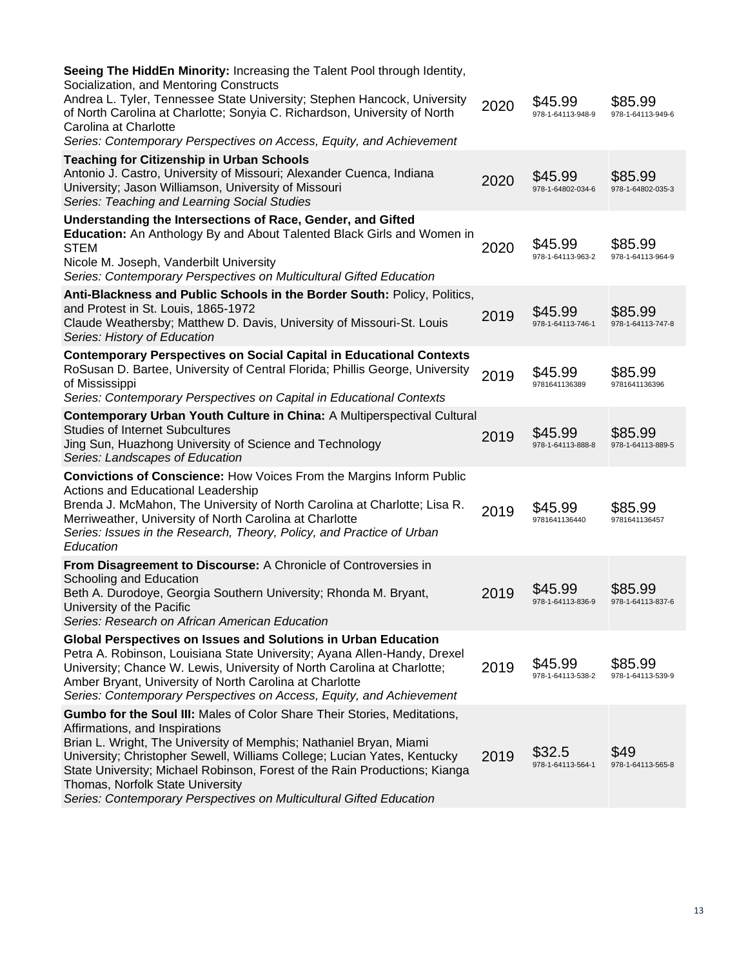| Seeing The HiddEn Minority: Increasing the Talent Pool through Identity,<br>Socialization, and Mentoring Constructs<br>Andrea L. Tyler, Tennessee State University; Stephen Hancock, University<br>of North Carolina at Charlotte; Sonyia C. Richardson, University of North<br>Carolina at Charlotte<br>Series: Contemporary Perspectives on Access, Equity, and Achievement                                                                         | 2020 | \$45.99<br>978-1-64113-948-9 | \$85.99<br>978-1-64113-949-6 |
|-------------------------------------------------------------------------------------------------------------------------------------------------------------------------------------------------------------------------------------------------------------------------------------------------------------------------------------------------------------------------------------------------------------------------------------------------------|------|------------------------------|------------------------------|
| <b>Teaching for Citizenship in Urban Schools</b><br>Antonio J. Castro, University of Missouri; Alexander Cuenca, Indiana<br>University; Jason Williamson, University of Missouri<br>Series: Teaching and Learning Social Studies                                                                                                                                                                                                                      | 2020 | \$45.99<br>978-1-64802-034-6 | \$85.99<br>978-1-64802-035-3 |
| Understanding the Intersections of Race, Gender, and Gifted<br>Education: An Anthology By and About Talented Black Girls and Women in<br><b>STEM</b><br>Nicole M. Joseph, Vanderbilt University<br>Series: Contemporary Perspectives on Multicultural Gifted Education                                                                                                                                                                                | 2020 | \$45.99<br>978-1-64113-963-2 | \$85.99<br>978-1-64113-964-9 |
| Anti-Blackness and Public Schools in the Border South: Policy, Politics,<br>and Protest in St. Louis, 1865-1972<br>Claude Weathersby; Matthew D. Davis, University of Missouri-St. Louis<br>Series: History of Education                                                                                                                                                                                                                              | 2019 | \$45.99<br>978-1-64113-746-1 | \$85.99<br>978-1-64113-747-8 |
| <b>Contemporary Perspectives on Social Capital in Educational Contexts</b><br>RoSusan D. Bartee, University of Central Florida; Phillis George, University<br>of Mississippi<br>Series: Contemporary Perspectives on Capital in Educational Contexts                                                                                                                                                                                                  | 2019 | \$45.99<br>9781641136389     | \$85.99<br>9781641136396     |
| Contemporary Urban Youth Culture in China: A Multiperspectival Cultural<br><b>Studies of Internet Subcultures</b><br>Jing Sun, Huazhong University of Science and Technology<br>Series: Landscapes of Education                                                                                                                                                                                                                                       | 2019 | \$45.99<br>978-1-64113-888-8 | \$85.99<br>978-1-64113-889-5 |
| <b>Convictions of Conscience: How Voices From the Margins Inform Public</b><br><b>Actions and Educational Leadership</b><br>Brenda J. McMahon, The University of North Carolina at Charlotte; Lisa R.<br>Merriweather, University of North Carolina at Charlotte<br>Series: Issues in the Research, Theory, Policy, and Practice of Urban<br>Education                                                                                                | 2019 | \$45.99<br>9781641136440     | \$85.99<br>9781641136457     |
| From Disagreement to Discourse: A Chronicle of Controversies in<br>Schooling and Education<br>Beth A. Durodoye, Georgia Southern University; Rhonda M. Bryant,<br>University of the Pacific<br>Series: Research on African American Education                                                                                                                                                                                                         | 2019 | \$45.99<br>978-1-64113-836-9 | \$85.99<br>978-1-64113-837-6 |
| Global Perspectives on Issues and Solutions in Urban Education<br>Petra A. Robinson, Louisiana State University; Ayana Allen-Handy, Drexel<br>University; Chance W. Lewis, University of North Carolina at Charlotte;<br>Amber Bryant, University of North Carolina at Charlotte<br>Series: Contemporary Perspectives on Access, Equity, and Achievement                                                                                              | 2019 | \$45.99<br>978-1-64113-538-2 | \$85.99<br>978-1-64113-539-9 |
| Gumbo for the Soul III: Males of Color Share Their Stories, Meditations,<br>Affirmations, and Inspirations<br>Brian L. Wright, The University of Memphis; Nathaniel Bryan, Miami<br>University; Christopher Sewell, Williams College; Lucian Yates, Kentucky<br>State University; Michael Robinson, Forest of the Rain Productions; Kianga<br>Thomas, Norfolk State University<br>Series: Contemporary Perspectives on Multicultural Gifted Education | 2019 | \$32.5<br>978-1-64113-564-1  | \$49<br>978-1-64113-565-8    |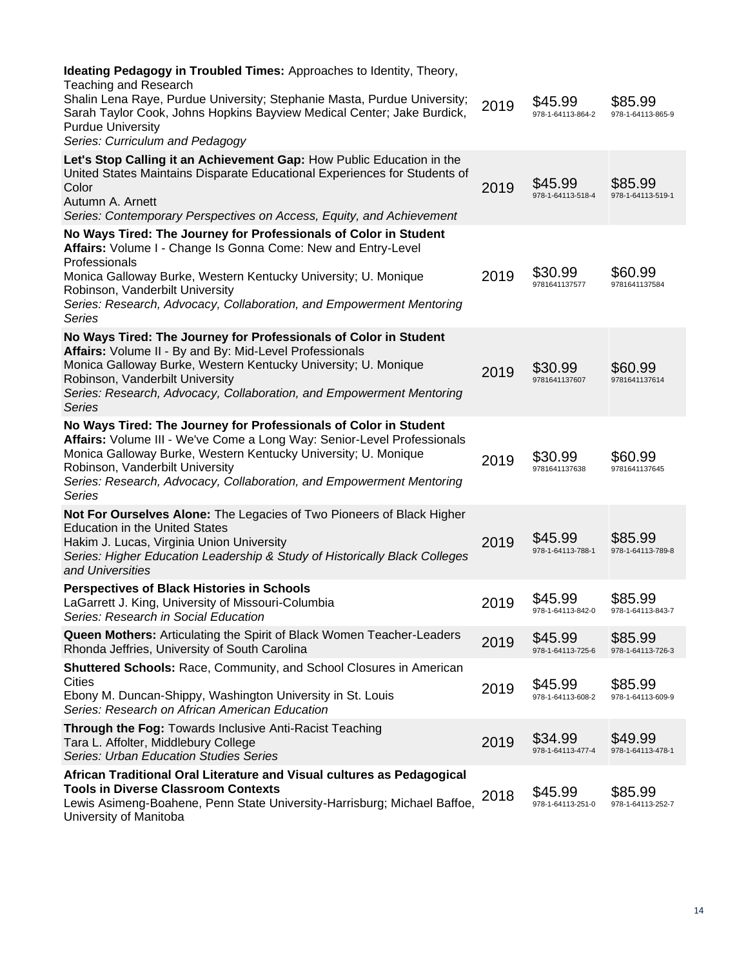| <b>Ideating Pedagogy in Troubled Times: Approaches to Identity, Theory,</b><br><b>Teaching and Research</b><br>Shalin Lena Raye, Purdue University; Stephanie Masta, Purdue University;<br>Sarah Taylor Cook, Johns Hopkins Bayview Medical Center; Jake Burdick,<br><b>Purdue University</b>                                      | 2019 | \$45.99<br>978-1-64113-864-2 | \$85.99<br>978-1-64113-865-9 |
|------------------------------------------------------------------------------------------------------------------------------------------------------------------------------------------------------------------------------------------------------------------------------------------------------------------------------------|------|------------------------------|------------------------------|
| Series: Curriculum and Pedagogy                                                                                                                                                                                                                                                                                                    |      |                              |                              |
| Let's Stop Calling it an Achievement Gap: How Public Education in the<br>United States Maintains Disparate Educational Experiences for Students of<br>Color<br>Autumn A. Arnett<br>Series: Contemporary Perspectives on Access, Equity, and Achievement                                                                            | 2019 | \$45.99<br>978-1-64113-518-4 | \$85.99<br>978-1-64113-519-1 |
| No Ways Tired: The Journey for Professionals of Color in Student<br>Affairs: Volume I - Change Is Gonna Come: New and Entry-Level<br>Professionals<br>Monica Galloway Burke, Western Kentucky University; U. Monique<br>Robinson, Vanderbilt University<br>Series: Research, Advocacy, Collaboration, and Empowerment Mentoring    | 2019 | \$30.99<br>9781641137577     | \$60.99<br>9781641137584     |
| Series                                                                                                                                                                                                                                                                                                                             |      |                              |                              |
| No Ways Tired: The Journey for Professionals of Color in Student<br>Affairs: Volume II - By and By: Mid-Level Professionals<br>Monica Galloway Burke, Western Kentucky University; U. Monique<br>Robinson, Vanderbilt University<br>Series: Research, Advocacy, Collaboration, and Empowerment Mentoring<br>Series                 | 2019 | \$30.99<br>9781641137607     | \$60.99<br>9781641137614     |
| No Ways Tired: The Journey for Professionals of Color in Student<br>Affairs: Volume III - We've Come a Long Way: Senior-Level Professionals<br>Monica Galloway Burke, Western Kentucky University; U. Monique<br>Robinson, Vanderbilt University<br>Series: Research, Advocacy, Collaboration, and Empowerment Mentoring<br>Series | 2019 | \$30.99<br>9781641137638     | \$60.99<br>9781641137645     |
| Not For Ourselves Alone: The Legacies of Two Pioneers of Black Higher<br><b>Education in the United States</b><br>Hakim J. Lucas, Virginia Union University<br>Series: Higher Education Leadership & Study of Historically Black Colleges<br>and Universities                                                                      | 2019 | \$45.99<br>978-1-64113-788-1 | \$85.99<br>978-1-64113-789-8 |
| <b>Perspectives of Black Histories in Schools</b><br>LaGarrett J. King, University of Missouri-Columbia<br>Series: Research in Social Education                                                                                                                                                                                    | 2019 | \$45.99<br>978-1-64113-842-0 | \$85.99<br>978-1-64113-843-7 |
| Queen Mothers: Articulating the Spirit of Black Women Teacher-Leaders<br>Rhonda Jeffries, University of South Carolina                                                                                                                                                                                                             | 2019 | \$45.99<br>978-1-64113-725-6 | \$85.99<br>978-1-64113-726-3 |
| <b>Shuttered Schools: Race, Community, and School Closures in American</b><br><b>Cities</b><br>Ebony M. Duncan-Shippy, Washington University in St. Louis<br>Series: Research on African American Education                                                                                                                        | 2019 | \$45.99<br>978-1-64113-608-2 | \$85.99<br>978-1-64113-609-9 |
| Through the Fog: Towards Inclusive Anti-Racist Teaching<br>Tara L. Affolter, Middlebury College<br><b>Series: Urban Education Studies Series</b>                                                                                                                                                                                   | 2019 | \$34.99<br>978-1-64113-477-4 | \$49.99<br>978-1-64113-478-1 |
| African Traditional Oral Literature and Visual cultures as Pedagogical<br><b>Tools in Diverse Classroom Contexts</b><br>Lewis Asimeng-Boahene, Penn State University-Harrisburg; Michael Baffoe,<br>University of Manitoba                                                                                                         | 2018 | \$45.99<br>978-1-64113-251-0 | \$85.99<br>978-1-64113-252-7 |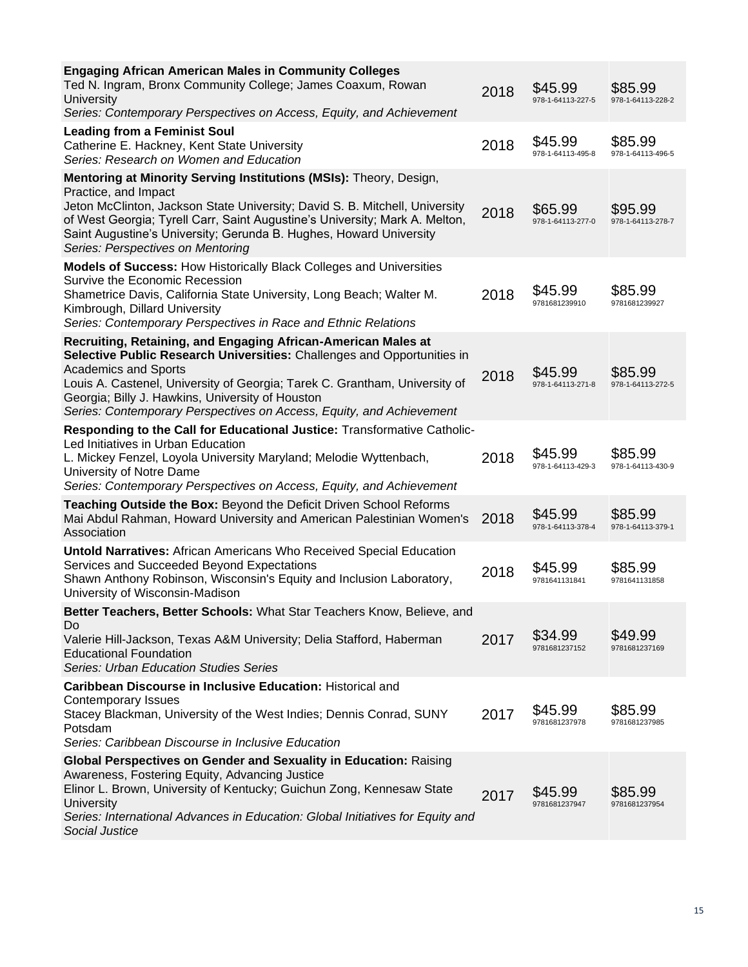| <b>Engaging African American Males in Community Colleges</b><br>Ted N. Ingram, Bronx Community College; James Coaxum, Rowan<br><b>University</b><br>Series: Contemporary Perspectives on Access, Equity, and Achievement                                                                                                                                                          | 2018 | \$45.99<br>978-1-64113-227-5 | \$85.99<br>978-1-64113-228-2 |
|-----------------------------------------------------------------------------------------------------------------------------------------------------------------------------------------------------------------------------------------------------------------------------------------------------------------------------------------------------------------------------------|------|------------------------------|------------------------------|
| <b>Leading from a Feminist Soul</b><br>Catherine E. Hackney, Kent State University<br>Series: Research on Women and Education                                                                                                                                                                                                                                                     | 2018 | \$45.99<br>978-1-64113-495-8 | \$85.99<br>978-1-64113-496-5 |
| Mentoring at Minority Serving Institutions (MSIs): Theory, Design,<br>Practice, and Impact<br>Jeton McClinton, Jackson State University; David S. B. Mitchell, University<br>of West Georgia; Tyrell Carr, Saint Augustine's University; Mark A. Melton,<br>Saint Augustine's University; Gerunda B. Hughes, Howard University<br>Series: Perspectives on Mentoring               | 2018 | \$65.99<br>978-1-64113-277-0 | \$95.99<br>978-1-64113-278-7 |
| <b>Models of Success: How Historically Black Colleges and Universities</b><br>Survive the Economic Recession<br>Shametrice Davis, California State University, Long Beach; Walter M.<br>Kimbrough, Dillard University<br>Series: Contemporary Perspectives in Race and Ethnic Relations                                                                                           | 2018 | \$45.99<br>9781681239910     | \$85.99<br>9781681239927     |
| Recruiting, Retaining, and Engaging African-American Males at<br>Selective Public Research Universities: Challenges and Opportunities in<br><b>Academics and Sports</b><br>Louis A. Castenel, University of Georgia; Tarek C. Grantham, University of<br>Georgia; Billy J. Hawkins, University of Houston<br>Series: Contemporary Perspectives on Access, Equity, and Achievement | 2018 | \$45.99<br>978-1-64113-271-8 | \$85.99<br>978-1-64113-272-5 |
| Responding to the Call for Educational Justice: Transformative Catholic-<br>Led Initiatives in Urban Education<br>L. Mickey Fenzel, Loyola University Maryland; Melodie Wyttenbach,<br>University of Notre Dame<br>Series: Contemporary Perspectives on Access, Equity, and Achievement                                                                                           | 2018 | \$45.99<br>978-1-64113-429-3 | \$85.99<br>978-1-64113-430-9 |
| Teaching Outside the Box: Beyond the Deficit Driven School Reforms<br>Mai Abdul Rahman, Howard University and American Palestinian Women's<br>Association                                                                                                                                                                                                                         | 2018 | \$45.99<br>978-1-64113-378-4 | \$85.99<br>978-1-64113-379-1 |
| <b>Untold Narratives: African Americans Who Received Special Education</b><br>Services and Succeeded Beyond Expectations<br>Shawn Anthony Robinson, Wisconsin's Equity and Inclusion Laboratory,<br>University of Wisconsin-Madison                                                                                                                                               | 2018 | \$45.99<br>9781641131841     | \$85.99<br>9781641131858     |
| Better Teachers, Better Schools: What Star Teachers Know, Believe, and<br>Do<br>Valerie Hill-Jackson, Texas A&M University; Delia Stafford, Haberman<br><b>Educational Foundation</b><br>Series: Urban Education Studies Series                                                                                                                                                   | 2017 | \$34.99<br>9781681237152     | \$49.99<br>9781681237169     |
| Caribbean Discourse in Inclusive Education: Historical and<br><b>Contemporary Issues</b><br>Stacey Blackman, University of the West Indies; Dennis Conrad, SUNY<br>Potsdam<br>Series: Caribbean Discourse in Inclusive Education                                                                                                                                                  | 2017 | \$45.99<br>9781681237978     | \$85.99<br>9781681237985     |
| <b>Global Perspectives on Gender and Sexuality in Education: Raising</b><br>Awareness, Fostering Equity, Advancing Justice<br>Elinor L. Brown, University of Kentucky; Guichun Zong, Kennesaw State<br>University<br>Series: International Advances in Education: Global Initiatives for Equity and<br>Social Justice                                                             | 2017 | \$45.99<br>9781681237947     | \$85.99<br>9781681237954     |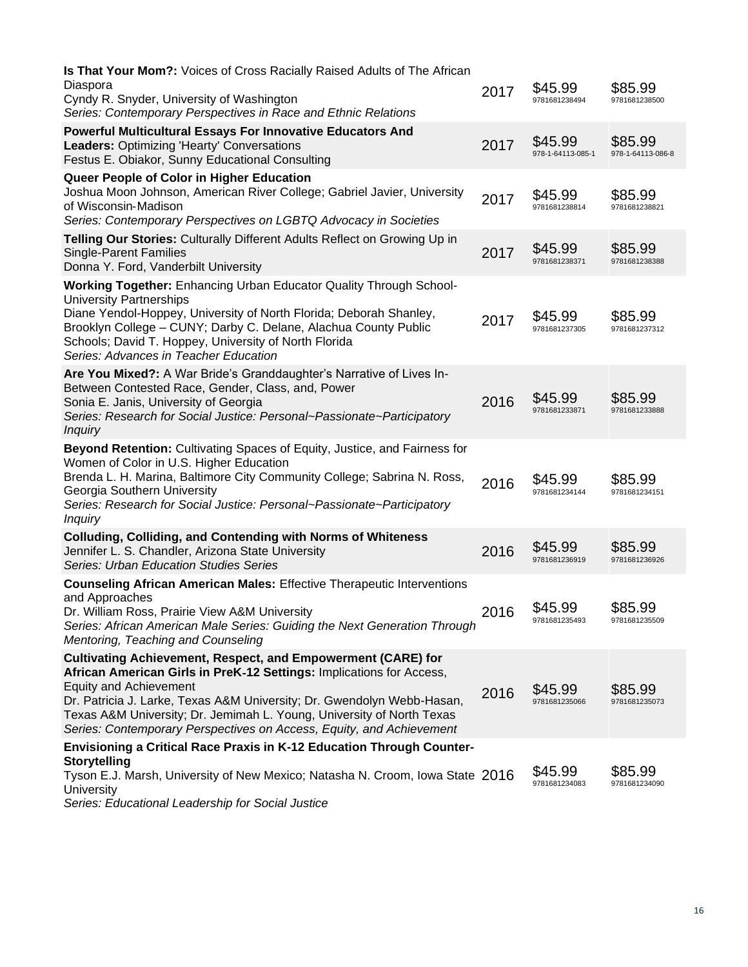| Is That Your Mom?: Voices of Cross Racially Raised Adults of The African                                                                                                                                                                                                                                                                                                                                |      |                              |                              |
|---------------------------------------------------------------------------------------------------------------------------------------------------------------------------------------------------------------------------------------------------------------------------------------------------------------------------------------------------------------------------------------------------------|------|------------------------------|------------------------------|
| Diaspora<br>Cyndy R. Snyder, University of Washington<br>Series: Contemporary Perspectives in Race and Ethnic Relations                                                                                                                                                                                                                                                                                 | 2017 | \$45.99<br>9781681238494     | \$85.99<br>9781681238500     |
| <b>Powerful Multicultural Essays For Innovative Educators And</b><br>Leaders: Optimizing 'Hearty' Conversations<br>Festus E. Obiakor, Sunny Educational Consulting                                                                                                                                                                                                                                      | 2017 | \$45.99<br>978-1-64113-085-1 | \$85.99<br>978-1-64113-086-8 |
| Queer People of Color in Higher Education<br>Joshua Moon Johnson, American River College; Gabriel Javier, University<br>of Wisconsin-Madison<br>Series: Contemporary Perspectives on LGBTQ Advocacy in Societies                                                                                                                                                                                        | 2017 | \$45.99<br>9781681238814     | \$85.99<br>9781681238821     |
| Telling Our Stories: Culturally Different Adults Reflect on Growing Up in<br><b>Single-Parent Families</b><br>Donna Y. Ford, Vanderbilt University                                                                                                                                                                                                                                                      | 2017 | \$45.99<br>9781681238371     | \$85.99<br>9781681238388     |
| <b>Working Together: Enhancing Urban Educator Quality Through School-</b><br><b>University Partnerships</b><br>Diane Yendol-Hoppey, University of North Florida; Deborah Shanley,<br>Brooklyn College - CUNY; Darby C. Delane, Alachua County Public<br>Schools; David T. Hoppey, University of North Florida<br>Series: Advances in Teacher Education                                                  | 2017 | \$45.99<br>9781681237305     | \$85.99<br>9781681237312     |
| Are You Mixed?: A War Bride's Granddaughter's Narrative of Lives In-<br>Between Contested Race, Gender, Class, and, Power<br>Sonia E. Janis, University of Georgia<br>Series: Research for Social Justice: Personal~Passionate~Participatory<br><b>Inquiry</b>                                                                                                                                          | 2016 | \$45.99<br>9781681233871     | \$85.99<br>9781681233888     |
| Beyond Retention: Cultivating Spaces of Equity, Justice, and Fairness for<br>Women of Color in U.S. Higher Education<br>Brenda L. H. Marina, Baltimore City Community College; Sabrina N. Ross,<br>Georgia Southern University<br>Series: Research for Social Justice: Personal~Passionate~Participatory<br><b>Inquiry</b>                                                                              | 2016 | \$45.99<br>9781681234144     | \$85.99<br>9781681234151     |
| <b>Colluding, Colliding, and Contending with Norms of Whiteness</b><br>Jennifer L. S. Chandler, Arizona State University<br><b>Series: Urban Education Studies Series</b>                                                                                                                                                                                                                               | 2016 | \$45.99<br>9781681236919     | \$85.99<br>9781681236926     |
| <b>Counseling African American Males: Effective Therapeutic Interventions</b><br>and Approaches<br>Dr. William Ross, Prairie View A&M University<br>Series: African American Male Series: Guiding the Next Generation Through<br>Mentoring, Teaching and Counseling                                                                                                                                     | 2016 | \$45.99<br>9781681235493     | \$85.99<br>9781681235509     |
| <b>Cultivating Achievement, Respect, and Empowerment (CARE) for</b><br>African American Girls in PreK-12 Settings: Implications for Access,<br><b>Equity and Achievement</b><br>Dr. Patricia J. Larke, Texas A&M University; Dr. Gwendolyn Webb-Hasan,<br>Texas A&M University; Dr. Jemimah L. Young, University of North Texas<br>Series: Contemporary Perspectives on Access, Equity, and Achievement | 2016 | \$45.99<br>9781681235066     | \$85.99<br>9781681235073     |
| Envisioning a Critical Race Praxis in K-12 Education Through Counter-<br><b>Storytelling</b><br>Tyson E.J. Marsh, University of New Mexico; Natasha N. Croom, Iowa State 2016<br><b>University</b><br>Ulandovahin for Conjel L.                                                                                                                                                                         |      | \$45.99<br>9781681234083     | \$85.99<br>9781681234090     |

*Series: Educational Leadership for Social Justice*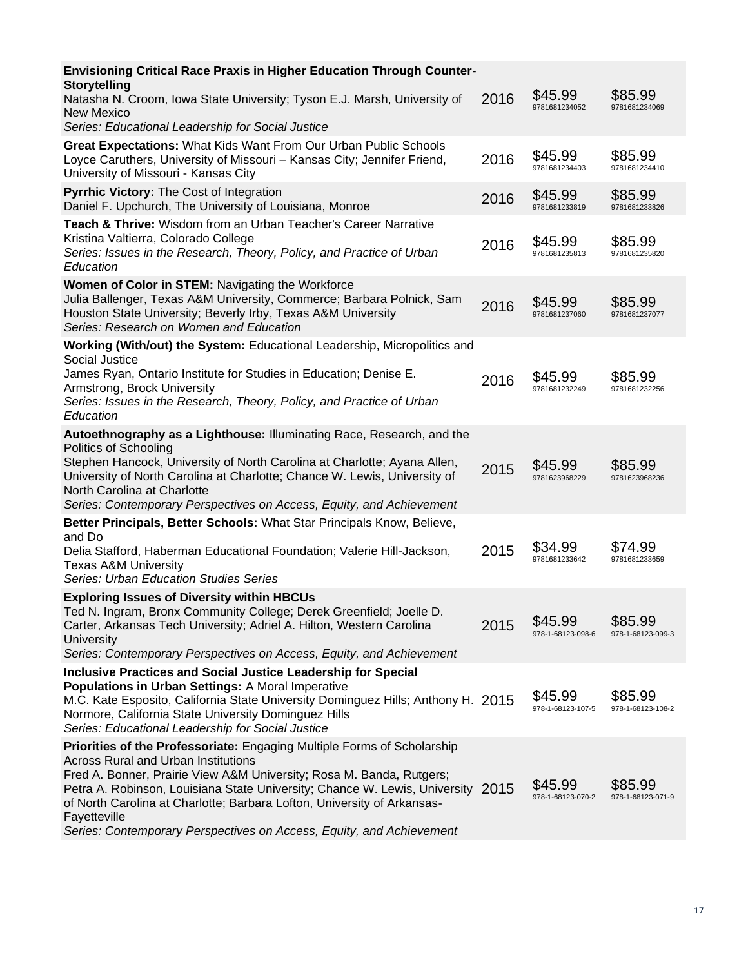| Envisioning Critical Race Praxis in Higher Education Through Counter-<br><b>Storytelling</b>                                                                                                                                                                                                                                                                                                                                                        |      |                              |                              |
|-----------------------------------------------------------------------------------------------------------------------------------------------------------------------------------------------------------------------------------------------------------------------------------------------------------------------------------------------------------------------------------------------------------------------------------------------------|------|------------------------------|------------------------------|
| Natasha N. Croom, Iowa State University; Tyson E.J. Marsh, University of<br>New Mexico<br>Series: Educational Leadership for Social Justice                                                                                                                                                                                                                                                                                                         | 2016 | \$45.99<br>9781681234052     | \$85.99<br>9781681234069     |
| Great Expectations: What Kids Want From Our Urban Public Schools<br>Loyce Caruthers, University of Missouri - Kansas City; Jennifer Friend,<br>University of Missouri - Kansas City                                                                                                                                                                                                                                                                 | 2016 | \$45.99<br>9781681234403     | \$85.99<br>9781681234410     |
| Pyrrhic Victory: The Cost of Integration<br>Daniel F. Upchurch, The University of Louisiana, Monroe                                                                                                                                                                                                                                                                                                                                                 | 2016 | \$45.99<br>9781681233819     | \$85.99<br>9781681233826     |
| Teach & Thrive: Wisdom from an Urban Teacher's Career Narrative<br>Kristina Valtierra, Colorado College<br>Series: Issues in the Research, Theory, Policy, and Practice of Urban<br>Education                                                                                                                                                                                                                                                       | 2016 | \$45.99<br>9781681235813     | \$85.99<br>9781681235820     |
| Women of Color in STEM: Navigating the Workforce<br>Julia Ballenger, Texas A&M University, Commerce; Barbara Polnick, Sam<br>Houston State University; Beverly Irby, Texas A&M University<br>Series: Research on Women and Education                                                                                                                                                                                                                | 2016 | \$45.99<br>9781681237060     | \$85.99<br>9781681237077     |
| Working (With/out) the System: Educational Leadership, Micropolitics and<br>Social Justice<br>James Ryan, Ontario Institute for Studies in Education; Denise E.<br>Armstrong, Brock University<br>Series: Issues in the Research, Theory, Policy, and Practice of Urban<br>Education                                                                                                                                                                | 2016 | \$45.99<br>9781681232249     | \$85.99<br>9781681232256     |
| Autoethnography as a Lighthouse: Illuminating Race, Research, and the<br>Politics of Schooling<br>Stephen Hancock, University of North Carolina at Charlotte; Ayana Allen,<br>University of North Carolina at Charlotte; Chance W. Lewis, University of<br>North Carolina at Charlotte<br>Series: Contemporary Perspectives on Access, Equity, and Achievement                                                                                      | 2015 | \$45.99<br>9781623968229     | \$85.99<br>9781623968236     |
| Better Principals, Better Schools: What Star Principals Know, Believe,<br>and Do<br>Delia Stafford, Haberman Educational Foundation; Valerie Hill-Jackson,<br><b>Texas A&amp;M University</b><br><b>Series: Urban Education Studies Series</b>                                                                                                                                                                                                      | 2015 | \$34.99<br>9781681233642     | \$74.99<br>9781681233659     |
| <b>Exploring Issues of Diversity within HBCUs</b><br>Ted N. Ingram, Bronx Community College; Derek Greenfield; Joelle D.<br>Carter, Arkansas Tech University; Adriel A. Hilton, Western Carolina<br><b>University</b><br>Series: Contemporary Perspectives on Access, Equity, and Achievement                                                                                                                                                       | 2015 | \$45.99<br>978-1-68123-098-6 | \$85.99<br>978-1-68123-099-3 |
| <b>Inclusive Practices and Social Justice Leadership for Special</b><br><b>Populations in Urban Settings: A Moral Imperative</b><br>M.C. Kate Esposito, California State University Dominguez Hills; Anthony H. 2015<br>Normore, California State University Dominguez Hills<br>Series: Educational Leadership for Social Justice                                                                                                                   |      | \$45.99<br>978-1-68123-107-5 | \$85.99<br>978-1-68123-108-2 |
| Priorities of the Professoriate: Engaging Multiple Forms of Scholarship<br><b>Across Rural and Urban Institutions</b><br>Fred A. Bonner, Prairie View A&M University; Rosa M. Banda, Rutgers;<br>Petra A. Robinson, Louisiana State University; Chance W. Lewis, University 2015<br>of North Carolina at Charlotte; Barbara Lofton, University of Arkansas-<br>Fayetteville<br>Series: Contemporary Perspectives on Access, Equity, and Achievement |      | \$45.99<br>978-1-68123-070-2 | \$85.99<br>978-1-68123-071-9 |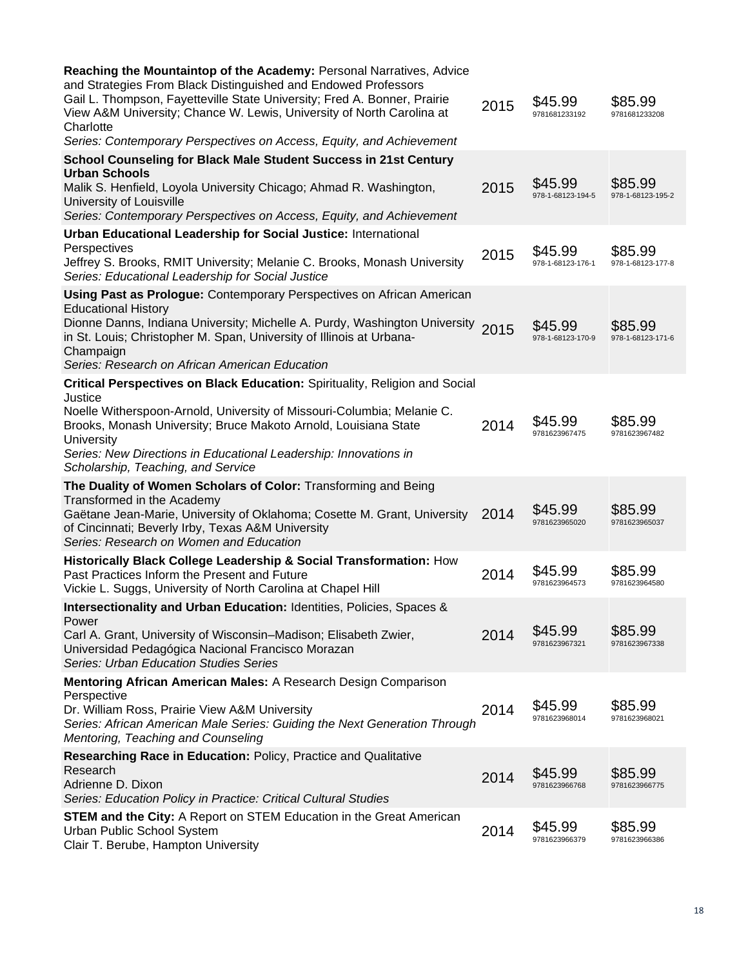| Reaching the Mountaintop of the Academy: Personal Narratives, Advice<br>and Strategies From Black Distinguished and Endowed Professors<br>Gail L. Thompson, Fayetteville State University; Fred A. Bonner, Prairie<br>View A&M University; Chance W. Lewis, University of North Carolina at<br>Charlotte<br>Series: Contemporary Perspectives on Access, Equity, and Achievement | 2015 | \$45.99<br>9781681233192     | \$85.99<br>9781681233208     |
|----------------------------------------------------------------------------------------------------------------------------------------------------------------------------------------------------------------------------------------------------------------------------------------------------------------------------------------------------------------------------------|------|------------------------------|------------------------------|
| School Counseling for Black Male Student Success in 21st Century<br><b>Urban Schools</b>                                                                                                                                                                                                                                                                                         |      |                              |                              |
| Malik S. Henfield, Loyola University Chicago; Ahmad R. Washington,<br>University of Louisville<br>Series: Contemporary Perspectives on Access, Equity, and Achievement                                                                                                                                                                                                           | 2015 | \$45.99<br>978-1-68123-194-5 | \$85.99<br>978-1-68123-195-2 |
| <b>Urban Educational Leadership for Social Justice: International</b><br>Perspectives<br>Jeffrey S. Brooks, RMIT University; Melanie C. Brooks, Monash University<br>Series: Educational Leadership for Social Justice                                                                                                                                                           | 2015 | \$45.99<br>978-1-68123-176-1 | \$85.99<br>978-1-68123-177-8 |
| Using Past as Prologue: Contemporary Perspectives on African American<br><b>Educational History</b><br>Dionne Danns, Indiana University; Michelle A. Purdy, Washington University<br>in St. Louis; Christopher M. Span, University of Illinois at Urbana-<br>Champaign<br>Series: Research on African American Education                                                         | 2015 | \$45.99<br>978-1-68123-170-9 | \$85.99<br>978-1-68123-171-6 |
| <b>Critical Perspectives on Black Education: Spirituality, Religion and Social</b>                                                                                                                                                                                                                                                                                               |      |                              |                              |
| Justice<br>Noelle Witherspoon-Arnold, University of Missouri-Columbia; Melanie C.<br>Brooks, Monash University; Bruce Makoto Arnold, Louisiana State<br>University<br>Series: New Directions in Educational Leadership: Innovations in<br>Scholarship, Teaching, and Service                                                                                                     | 2014 | \$45.99<br>9781623967475     | \$85.99<br>9781623967482     |
| The Duality of Women Scholars of Color: Transforming and Being                                                                                                                                                                                                                                                                                                                   |      |                              |                              |
| Transformed in the Academy<br>Gaëtane Jean-Marie, University of Oklahoma; Cosette M. Grant, University<br>of Cincinnati; Beverly Irby, Texas A&M University<br>Series: Research on Women and Education                                                                                                                                                                           | 2014 | \$45.99<br>9781623965020     | \$85.99<br>9781623965037     |
| Historically Black College Leadership & Social Transformation: How<br>Past Practices Inform the Present and Future<br>Vickie L. Suggs, University of North Carolina at Chapel Hill                                                                                                                                                                                               | 2014 | \$45.99<br>9781623964573     | \$85.99<br>9781623964580     |
| Intersectionality and Urban Education: Identities, Policies, Spaces &<br>Power                                                                                                                                                                                                                                                                                                   |      |                              |                              |
| Carl A. Grant, University of Wisconsin–Madison; Elisabeth Zwier,<br>Universidad Pedagógica Nacional Francisco Morazan<br><b>Series: Urban Education Studies Series</b>                                                                                                                                                                                                           | 2014 | \$45.99<br>9781623967321     | \$85.99<br>9781623967338     |
| Mentoring African American Males: A Research Design Comparison<br>Perspective<br>Dr. William Ross, Prairie View A&M University<br>Series: African American Male Series: Guiding the Next Generation Through<br>Mentoring, Teaching and Counseling                                                                                                                                | 2014 | \$45.99<br>9781623968014     | \$85.99<br>9781623968021     |
| Researching Race in Education: Policy, Practice and Qualitative<br>Research<br>Adrienne D. Dixon<br>Series: Education Policy in Practice: Critical Cultural Studies                                                                                                                                                                                                              | 2014 | \$45.99<br>9781623966768     | \$85.99<br>9781623966775     |
| <b>STEM and the City:</b> A Report on STEM Education in the Great American<br>Urban Public School System<br>Clair T. Berube, Hampton University                                                                                                                                                                                                                                  | 2014 | \$45.99<br>9781623966379     | \$85.99<br>9781623966386     |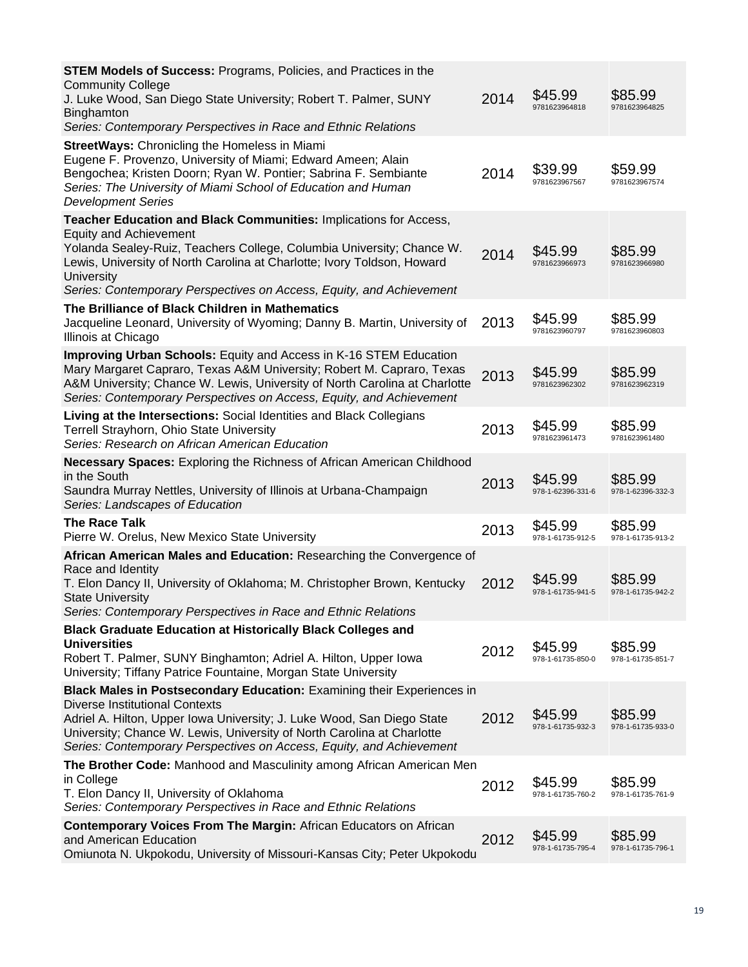| <b>STEM Models of Success: Programs, Policies, and Practices in the</b><br><b>Community College</b><br>J. Luke Wood, San Diego State University; Robert T. Palmer, SUNY<br>Binghamton<br>Series: Contemporary Perspectives in Race and Ethnic Relations                                                                                             | 2014 | \$45.99<br>9781623964818     | \$85.99<br>9781623964825     |
|-----------------------------------------------------------------------------------------------------------------------------------------------------------------------------------------------------------------------------------------------------------------------------------------------------------------------------------------------------|------|------------------------------|------------------------------|
| <b>StreetWays: Chronicling the Homeless in Miami</b><br>Eugene F. Provenzo, University of Miami; Edward Ameen; Alain<br>Bengochea; Kristen Doorn; Ryan W. Pontier; Sabrina F. Sembiante<br>Series: The University of Miami School of Education and Human<br><b>Development Series</b>                                                               | 2014 | \$39.99<br>9781623967567     | \$59.99<br>9781623967574     |
| Teacher Education and Black Communities: Implications for Access,<br><b>Equity and Achievement</b><br>Yolanda Sealey-Ruiz, Teachers College, Columbia University; Chance W.<br>Lewis, University of North Carolina at Charlotte; Ivory Toldson, Howard<br><b>University</b><br>Series: Contemporary Perspectives on Access, Equity, and Achievement | 2014 | \$45.99<br>9781623966973     | \$85.99<br>9781623966980     |
| The Brilliance of Black Children in Mathematics<br>Jacqueline Leonard, University of Wyoming; Danny B. Martin, University of<br>Illinois at Chicago                                                                                                                                                                                                 | 2013 | \$45.99<br>9781623960797     | \$85.99<br>9781623960803     |
| <b>Improving Urban Schools:</b> Equity and Access in K-16 STEM Education<br>Mary Margaret Capraro, Texas A&M University; Robert M. Capraro, Texas<br>A&M University; Chance W. Lewis, University of North Carolina at Charlotte<br>Series: Contemporary Perspectives on Access, Equity, and Achievement                                             | 2013 | \$45.99<br>9781623962302     | \$85.99<br>9781623962319     |
| Living at the Intersections: Social Identities and Black Collegians<br><b>Terrell Strayhorn, Ohio State University</b><br>Series: Research on African American Education                                                                                                                                                                            | 2013 | \$45.99<br>9781623961473     | \$85.99<br>9781623961480     |
| <b>Necessary Spaces:</b> Exploring the Richness of African American Childhood<br>in the South<br>Saundra Murray Nettles, University of Illinois at Urbana-Champaign<br>Series: Landscapes of Education                                                                                                                                              | 2013 | \$45.99<br>978-1-62396-331-6 | \$85.99<br>978-1-62396-332-3 |
| <b>The Race Talk</b><br>Pierre W. Orelus, New Mexico State University                                                                                                                                                                                                                                                                               | 2013 | \$45.99<br>978-1-61735-912-5 | \$85.99<br>978-1-61735-913-2 |
| African American Males and Education: Researching the Convergence of<br>Race and Identity<br>T. Elon Dancy II, University of Oklahoma; M. Christopher Brown, Kentucky<br><b>State University</b><br>Series: Contemporary Perspectives in Race and Ethnic Relations                                                                                  | 2012 | \$45.99<br>978-1-61735-941-5 | \$85.99<br>978-1-61735-942-2 |
| <b>Black Graduate Education at Historically Black Colleges and</b><br><b>Universities</b><br>Robert T. Palmer, SUNY Binghamton; Adriel A. Hilton, Upper Iowa<br>University; Tiffany Patrice Fountaine, Morgan State University                                                                                                                      | 2012 | \$45.99<br>978-1-61735-850-0 | \$85.99<br>978-1-61735-851-7 |
| Black Males in Postsecondary Education: Examining their Experiences in<br><b>Diverse Institutional Contexts</b><br>Adriel A. Hilton, Upper Iowa University; J. Luke Wood, San Diego State<br>University; Chance W. Lewis, University of North Carolina at Charlotte<br>Series: Contemporary Perspectives on Access, Equity, and Achievement         | 2012 | \$45.99<br>978-1-61735-932-3 | \$85.99<br>978-1-61735-933-0 |
| The Brother Code: Manhood and Masculinity among African American Men<br>in College<br>T. Elon Dancy II, University of Oklahoma<br>Series: Contemporary Perspectives in Race and Ethnic Relations                                                                                                                                                    | 2012 | \$45.99<br>978-1-61735-760-2 | \$85.99<br>978-1-61735-761-9 |
| <b>Contemporary Voices From The Margin: African Educators on African</b><br>and American Education<br>Omiunota N. Ukpokodu, University of Missouri-Kansas City; Peter Ukpokodu                                                                                                                                                                      | 2012 | \$45.99<br>978-1-61735-795-4 | \$85.99<br>978-1-61735-796-1 |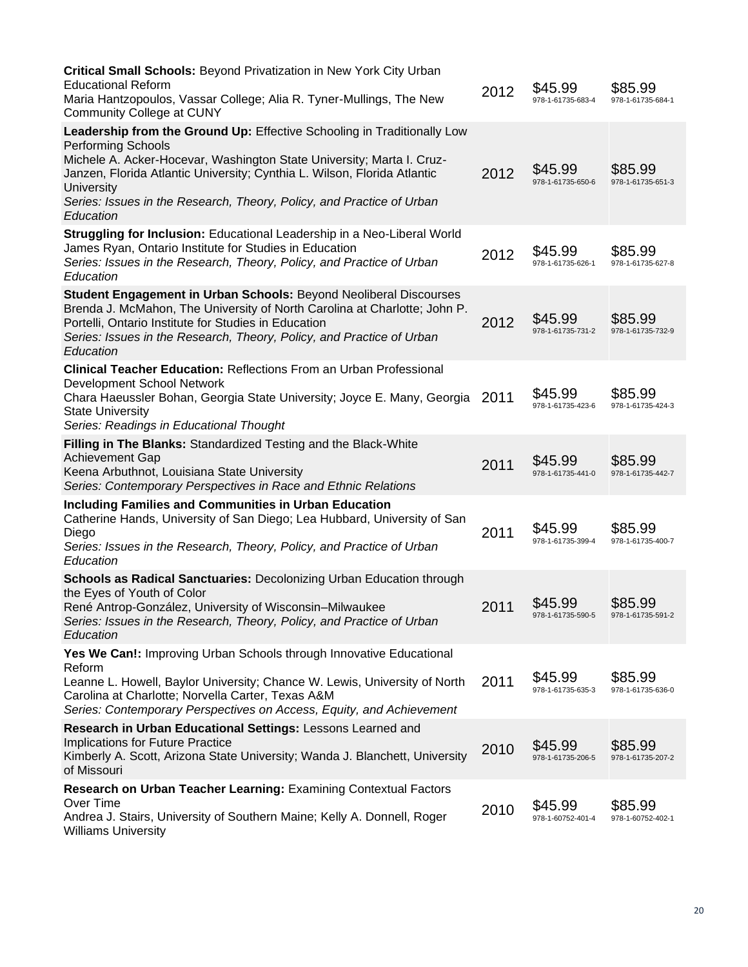| Critical Small Schools: Beyond Privatization in New York City Urban<br><b>Educational Reform</b><br>Maria Hantzopoulos, Vassar College; Alia R. Tyner-Mullings, The New<br><b>Community College at CUNY</b>                                                                                                                                                   | 2012 | \$45.99<br>978-1-61735-683-4 | \$85.99<br>978-1-61735-684-1 |
|---------------------------------------------------------------------------------------------------------------------------------------------------------------------------------------------------------------------------------------------------------------------------------------------------------------------------------------------------------------|------|------------------------------|------------------------------|
| Leadership from the Ground Up: Effective Schooling in Traditionally Low<br><b>Performing Schools</b><br>Michele A. Acker-Hocevar, Washington State University; Marta I. Cruz-<br>Janzen, Florida Atlantic University; Cynthia L. Wilson, Florida Atlantic<br>University<br>Series: Issues in the Research, Theory, Policy, and Practice of Urban<br>Education | 2012 | \$45.99<br>978-1-61735-650-6 | \$85.99<br>978-1-61735-651-3 |
| Struggling for Inclusion: Educational Leadership in a Neo-Liberal World<br>James Ryan, Ontario Institute for Studies in Education<br>Series: Issues in the Research, Theory, Policy, and Practice of Urban<br>Education                                                                                                                                       | 2012 | \$45.99<br>978-1-61735-626-1 | \$85.99<br>978-1-61735-627-8 |
| Student Engagement in Urban Schools: Beyond Neoliberal Discourses<br>Brenda J. McMahon, The University of North Carolina at Charlotte; John P.<br>Portelli, Ontario Institute for Studies in Education<br>Series: Issues in the Research, Theory, Policy, and Practice of Urban<br>Education                                                                  | 2012 | \$45.99<br>978-1-61735-731-2 | \$85.99<br>978-1-61735-732-9 |
| <b>Clinical Teacher Education: Reflections From an Urban Professional</b><br>Development School Network<br>Chara Haeussler Bohan, Georgia State University; Joyce E. Many, Georgia 2011<br><b>State University</b><br>Series: Readings in Educational Thought                                                                                                 |      | \$45.99<br>978-1-61735-423-6 | \$85.99<br>978-1-61735-424-3 |
| <b>Filling in The Blanks: Standardized Testing and the Black-White</b><br><b>Achievement Gap</b><br>Keena Arbuthnot, Louisiana State University<br>Series: Contemporary Perspectives in Race and Ethnic Relations                                                                                                                                             | 2011 | \$45.99<br>978-1-61735-441-0 | \$85.99<br>978-1-61735-442-7 |
| <b>Including Families and Communities in Urban Education</b><br>Catherine Hands, University of San Diego; Lea Hubbard, University of San<br>Diego<br>Series: Issues in the Research, Theory, Policy, and Practice of Urban<br>Education                                                                                                                       | 2011 | \$45.99<br>978-1-61735-399-4 | \$85.99<br>978-1-61735-400-7 |
| <b>Schools as Radical Sanctuaries: Decolonizing Urban Education through</b><br>the Eyes of Youth of Color<br>René Antrop-González, University of Wisconsin–Milwaukee<br>Series: Issues in the Research, Theory, Policy, and Practice of Urban<br>Education                                                                                                    | 2011 | \$45.99<br>978-1-61735-590-5 | \$85.99<br>978-1-61735-591-2 |
| Yes We Can!: Improving Urban Schools through Innovative Educational<br>Reform<br>Leanne L. Howell, Baylor University; Chance W. Lewis, University of North<br>Carolina at Charlotte; Norvella Carter, Texas A&M<br>Series: Contemporary Perspectives on Access, Equity, and Achievement                                                                       | 2011 | \$45.99<br>978-1-61735-635-3 | \$85.99<br>978-1-61735-636-0 |
| Research in Urban Educational Settings: Lessons Learned and<br>Implications for Future Practice<br>Kimberly A. Scott, Arizona State University; Wanda J. Blanchett, University<br>of Missouri                                                                                                                                                                 | 2010 | \$45.99<br>978-1-61735-206-5 | \$85.99<br>978-1-61735-207-2 |
| Research on Urban Teacher Learning: Examining Contextual Factors<br>Over Time<br>Andrea J. Stairs, University of Southern Maine; Kelly A. Donnell, Roger<br><b>Williams University</b>                                                                                                                                                                        | 2010 | \$45.99<br>978-1-60752-401-4 | \$85.99<br>978-1-60752-402-1 |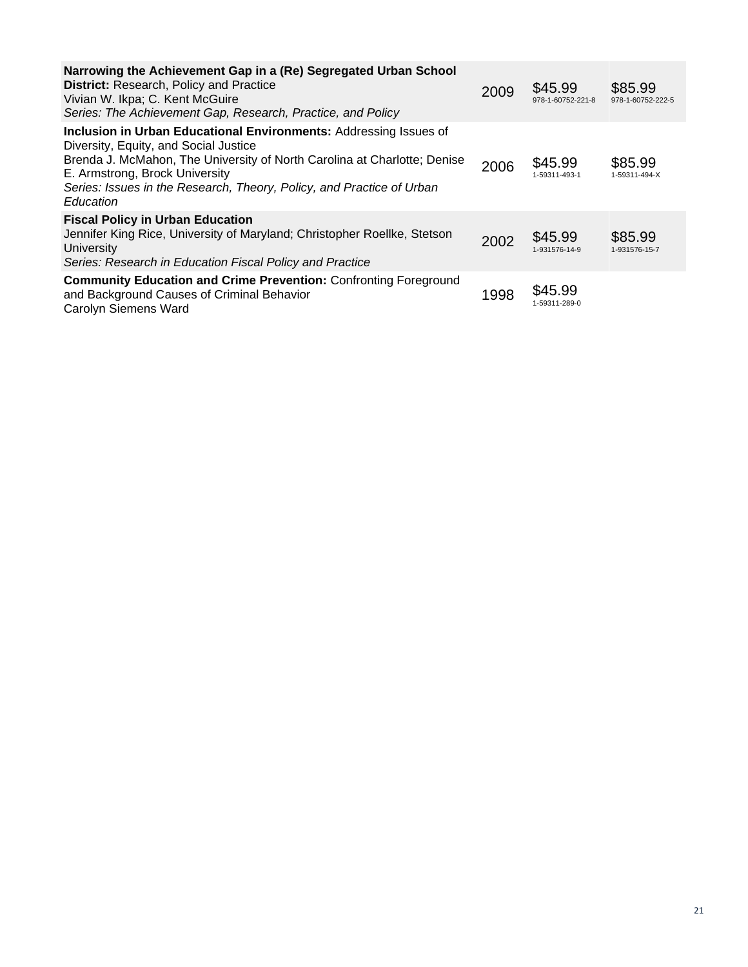| Narrowing the Achievement Gap in a (Re) Segregated Urban School<br><b>District:</b> Research, Policy and Practice<br>Vivian W. Ikpa; C. Kent McGuire<br>Series: The Achievement Gap, Research, Practice, and Policy                                                                                            | 2009 | \$45.99<br>978-1-60752-221-8 | \$85.99<br>978-1-60752-222-5 |
|----------------------------------------------------------------------------------------------------------------------------------------------------------------------------------------------------------------------------------------------------------------------------------------------------------------|------|------------------------------|------------------------------|
| Inclusion in Urban Educational Environments: Addressing Issues of<br>Diversity, Equity, and Social Justice<br>Brenda J. McMahon, The University of North Carolina at Charlotte; Denise<br>E. Armstrong, Brock University<br>Series: Issues in the Research, Theory, Policy, and Practice of Urban<br>Education | 2006 | \$45.99<br>1-59311-493-1     | \$85.99<br>1-59311-494-X     |
| <b>Fiscal Policy in Urban Education</b><br>Jennifer King Rice, University of Maryland; Christopher Roellke, Stetson<br>University<br>Series: Research in Education Fiscal Policy and Practice                                                                                                                  | 2002 | \$45.99<br>1-931576-14-9     | \$85.99<br>1-931576-15-7     |
| <b>Community Education and Crime Prevention: Confronting Foreground</b><br>and Background Causes of Criminal Behavior<br>Carolyn Siemens Ward                                                                                                                                                                  | 1998 | \$45.99<br>1-59311-289-0     |                              |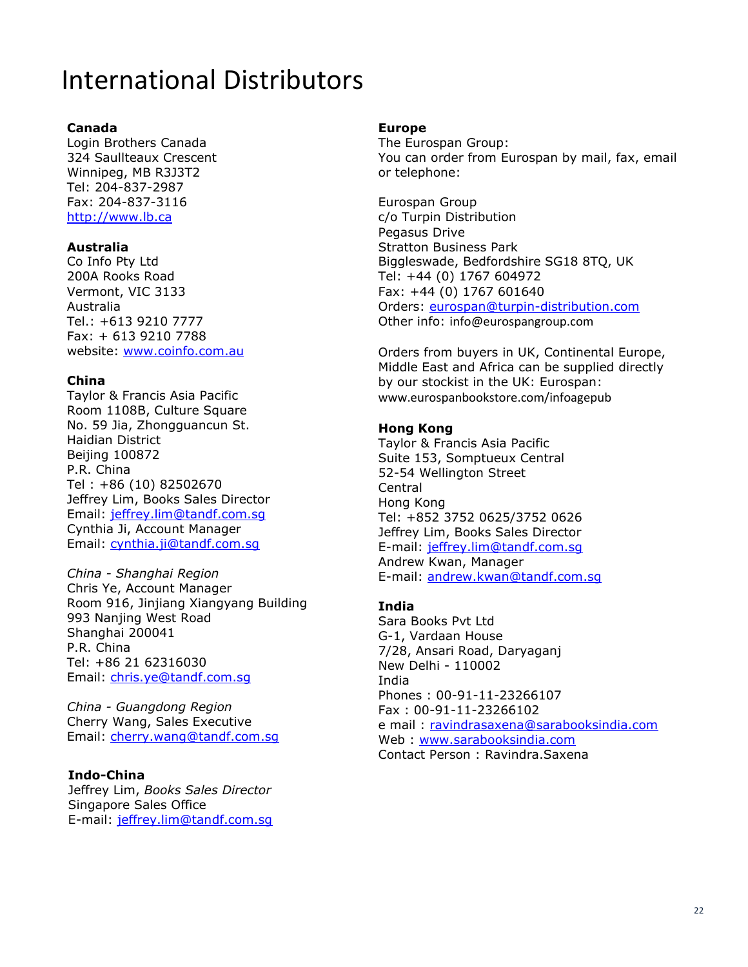# International Distributors

#### **Canada**

Login Brothers Canada 324 Saullteaux Crescent Winnipeg, MB R3J3T2 Tel: 204-837-2987 Fax: 204-837-3116 [http://www.lb.ca](http://www.lb.ca/)

#### **Australia**

Co Info Pty Ltd 200A Rooks Road Vermont, VIC 3133 Australia Tel.: +613 9210 7777 Fax: + 613 9210 7788 website: [www.coinfo.com.au](http://www.coinfo.com.au/)

#### **China**

Taylor & Francis Asia Pacific Room 1108B, Culture Square No. 59 Jia, Zhongguancun St. Haidian District Beijing 100872 P.R. China Tel : +86 (10) 82502670 Jeffrey Lim, Books Sales Director Email: [jeffrey.lim@tandf.com.sg](mailto:jeffrey.lim@tandf.com.sg) Cynthia Ji, Account Manager Email: [cynthia.ji@tandf.com.sg](mailto:cynthia.ji@tandf.com.sg)

*China - Shanghai Region* Chris Ye, Account Manager Room 916, Jinjiang Xiangyang Building 993 Nanjing West Road Shanghai 200041 P.R. China Tel: +86 21 62316030 Email: [chris.ye@tandf.com.sg](mailto:chris.ye@tandf.com.sg)

*China - Guangdong Region* Cherry Wang, Sales Executive Email: [cherry.wang@tandf.com.sg](mailto:cherry.wang@tandf.com.sg)

#### **Indo-China**

Jeffrey Lim, *Books Sales Director* Singapore Sales Office E-mail: [jeffrey.lim@tandf.com.sg](mailto:jeffrey.lim@tandf.com.sg)

#### **Europe**

The Eurospan Group: You can order from Eurospan by mail, fax, email or telephone:

Eurospan Group c/o Turpin Distribution Pegasus Drive Stratton Business Park Biggleswade, Bedfordshire SG18 8TQ, UK Tel: +44 (0) 1767 604972 Fax: +44 (0) 1767 601640 Orders: [eurospan@turpin-distribution.com](mailto:eurospan@turpin-distribution.com) Other info: info@eurospangroup.com

Orders from buyers in UK, Continental Europe, Middle East and Africa can be supplied directly by our stockist in the UK: Eurospan: www.eurospanbookstore.com/infoagepub

#### **Hong Kong**

Taylor & Francis Asia Pacific Suite 153, Somptueux Central 52-54 Wellington Street Central Hong Kong Tel: +852 3752 0625/3752 0626 Jeffrey Lim, Books Sales Director E-mail: [jeffrey.lim@tandf.com.sg](mailto:jeffrey.lim@tandf.com.sg) Andrew Kwan, Manager E-mail: [andrew.kwan@tandf.com.sg](mailto:andrew.kwan@tandf.com.sg)

#### **India**

Sara Books Pvt Ltd G-1, Vardaan House 7/28, Ansari Road, Daryaganj New Delhi - 110002 India Phones : 00-91-11-23266107 Fax : 00-91-11-23266102 e mail: [ravindrasaxena@sarabooksindia.com](mailto:ravindrasaxena@sarabooksindia.com) Web : [www.sarabooksindia.com](http://www.sarabooksindia.com/) Contact Person : Ravindra.Saxena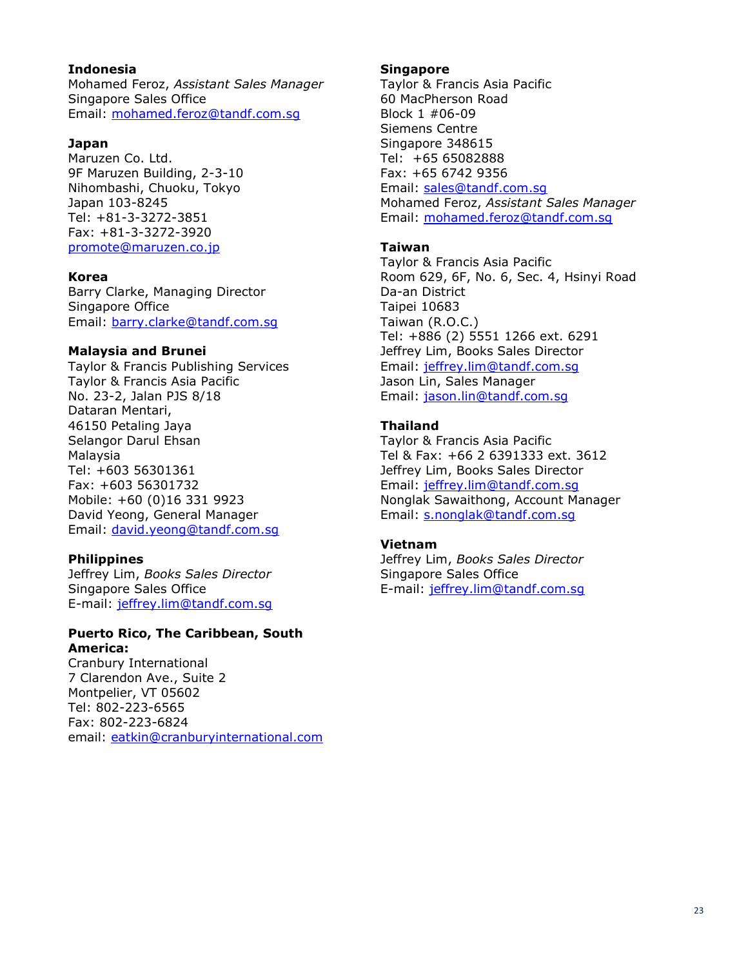#### **Indonesia**

Mohamed Feroz, *Assistant Sales Manager* Singapore Sales Office Email: [mohamed.feroz@tandf.com.sg](mailto:mohamed.feroz@tandf.com.sg)

#### **Japan**

Maruzen Co. Ltd. 9F Maruzen Building, 2-3-10 Nihombashi, Chuoku, Tokyo Japan 103-8245 Tel: +81-3-3272-3851 Fax: +81-3-3272-3920 [promote@maruzen.co.jp](mailto:promote@maruzen.co.jp)

#### **Korea**

Barry Clarke, Managing Director Singapore Office Email: [barry.clarke@tandf.com.sg](mailto:barry.clarke@tandf.com.sg)

#### **Malaysia and Brunei**

Taylor & Francis Publishing Services Taylor & Francis Asia Pacific No. 23-2, Jalan PJS 8/18 Dataran Mentari, 46150 Petaling Jaya Selangor Darul Ehsan Malaysia Tel: +603 56301361 Fax: +603 56301732 Mobile: +60 (0)16 331 9923 David Yeong, General Manager Email: [david.yeong@tandf.com.sg](mailto:david.yeong@tandf.com.sg)

#### **Philippines**

Jeffrey Lim, *Books Sales Director* Singapore Sales Office E-mail: [jeffrey.lim@tandf.com.sg](mailto:jeffrey.lim@tandf.com.sg)

#### **Puerto Rico, The Caribbean, South America:**

Cranbury International 7 Clarendon Ave., Suite 2 Montpelier, VT 05602 Tel: 802-223-6565 Fax: 802-223-6824 email: [eatkin@cranburyinternational.com](mailto:eatkin@cranburyinternational.com)

#### **Singapore**

Taylor & Francis Asia Pacific 60 MacPherson Road Block 1 #06-09 Siemens Centre Singapore 348615 Tel: +65 65082888 Fax: +65 6742 9356 Email: [sales@tandf.com.sg](mailto:sales@tandf.com.sg) Mohamed Feroz, *Assistant Sales Manager* Email: [mohamed.feroz@tandf.com.sg](mailto:mohamed.feroz@tandf.com.sg)

#### **Taiwan**

Taylor & Francis Asia Pacific Room 629, 6F, No. 6, Sec. 4, Hsinyi Road Da-an District Taipei 10683 Taiwan (R.O.C.) Tel: +886 (2) 5551 1266 ext. 6291 Jeffrey Lim, Books Sales Director Email: [jeffrey.lim@tandf.com.sg](mailto:jeffrey.lim@tandf.com.sg) Jason Lin, Sales Manager Email: [jason.lin@tandf.com.sg](mailto:jason.lin@tandf.com.sg)

#### **Thailand**

Taylor & Francis Asia Pacific Tel & Fax: +66 2 6391333 ext. 3612 Jeffrey Lim, Books Sales Director Email: [jeffrey.lim@tandf.com.sg](mailto:jeffrey.lim@tandf.com.sg) Nonglak Sawaithong, Account Manager Email: [s.nonglak@tandf.com.sg](mailto:s.nonglak@tandf.com.sg)

#### **Vietnam**

Jeffrey Lim, *Books Sales Director* Singapore Sales Office E-mail: [jeffrey.lim@tandf.com.sg](mailto:jeffrey.lim@tandf.com.sg)